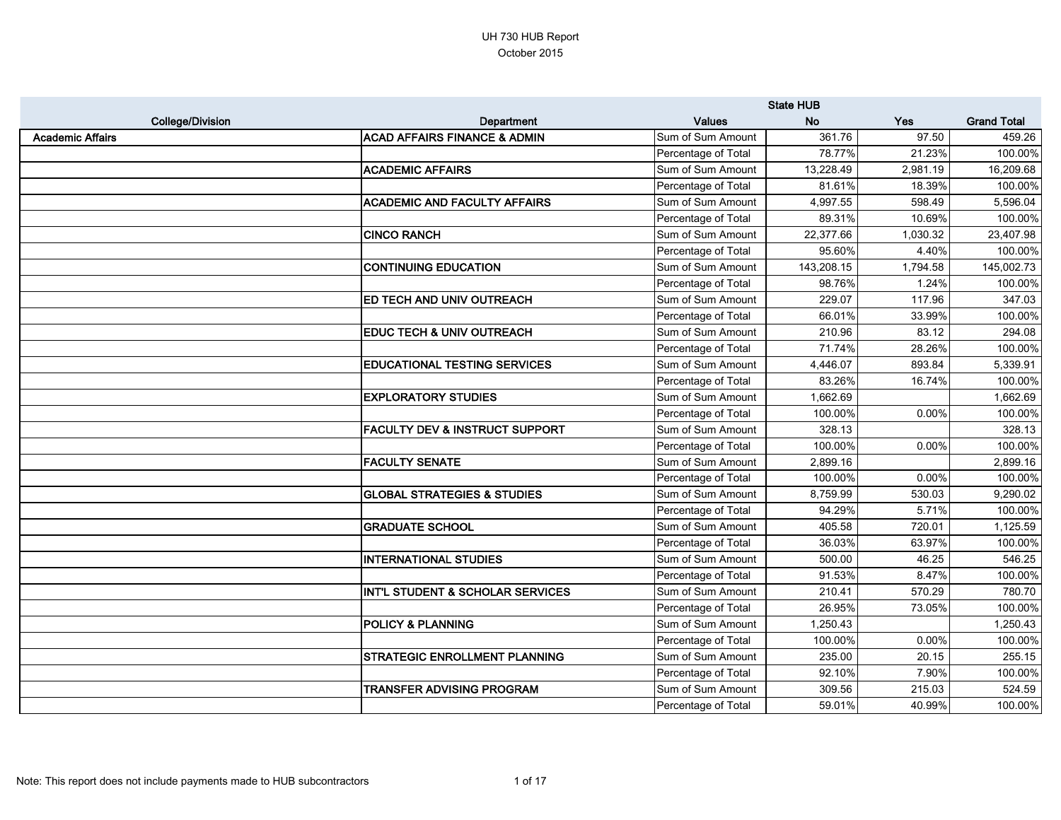|                         |                                           |                     | <b>State HUB</b> |            |                    |
|-------------------------|-------------------------------------------|---------------------|------------------|------------|--------------------|
| <b>College/Division</b> | <b>Department</b>                         | <b>Values</b>       | <b>No</b>        | <b>Yes</b> | <b>Grand Total</b> |
| <b>Academic Affairs</b> | <b>ACAD AFFAIRS FINANCE &amp; ADMIN</b>   | Sum of Sum Amount   | 361.76           | 97.50      | 459.26             |
|                         |                                           | Percentage of Total | 78.77%           | 21.23%     | 100.00%            |
|                         | <b>ACADEMIC AFFAIRS</b>                   | Sum of Sum Amount   | 13,228.49        | 2,981.19   | 16,209.68          |
|                         |                                           | Percentage of Total | 81.61%           | 18.39%     | 100.00%            |
|                         | <b>ACADEMIC AND FACULTY AFFAIRS</b>       | Sum of Sum Amount   | 4,997.55         | 598.49     | 5,596.04           |
|                         |                                           | Percentage of Total | 89.31%           | 10.69%     | 100.00%            |
|                         | <b>CINCO RANCH</b>                        | Sum of Sum Amount   | 22,377.66        | 1,030.32   | 23,407.98          |
|                         |                                           | Percentage of Total | 95.60%           | 4.40%      | 100.00%            |
|                         | <b>CONTINUING EDUCATION</b>               | Sum of Sum Amount   | 143,208.15       | 1,794.58   | 145,002.73         |
|                         |                                           | Percentage of Total | 98.76%           | 1.24%      | 100.00%            |
|                         | <b>ED TECH AND UNIV OUTREACH</b>          | Sum of Sum Amount   | 229.07           | 117.96     | 347.03             |
|                         |                                           | Percentage of Total | 66.01%           | 33.99%     | 100.00%            |
|                         | <b>EDUC TECH &amp; UNIV OUTREACH</b>      | Sum of Sum Amount   | 210.96           | 83.12      | 294.08             |
|                         |                                           | Percentage of Total | 71.74%           | 28.26%     | 100.00%            |
|                         | <b>EDUCATIONAL TESTING SERVICES</b>       | Sum of Sum Amount   | 4,446.07         | 893.84     | 5,339.91           |
|                         |                                           | Percentage of Total | 83.26%           | 16.74%     | 100.00%            |
|                         | <b>EXPLORATORY STUDIES</b>                | Sum of Sum Amount   | 1,662.69         |            | 1,662.69           |
|                         |                                           | Percentage of Total | 100.00%          | 0.00%      | 100.00%            |
|                         | <b>FACULTY DEV &amp; INSTRUCT SUPPORT</b> | Sum of Sum Amount   | 328.13           |            | 328.13             |
|                         |                                           | Percentage of Total | 100.00%          | 0.00%      | 100.00%            |
|                         | <b>FACULTY SENATE</b>                     | Sum of Sum Amount   | 2,899.16         |            | 2,899.16           |
|                         |                                           | Percentage of Total | 100.00%          | 0.00%      | 100.00%            |
|                         | <b>GLOBAL STRATEGIES &amp; STUDIES</b>    | Sum of Sum Amount   | 8,759.99         | 530.03     | 9,290.02           |
|                         |                                           | Percentage of Total | 94.29%           | 5.71%      | 100.00%            |
|                         | <b>GRADUATE SCHOOL</b>                    | Sum of Sum Amount   | 405.58           | 720.01     | 1,125.59           |
|                         |                                           | Percentage of Total | 36.03%           | 63.97%     | 100.00%            |
|                         | <b>INTERNATIONAL STUDIES</b>              | Sum of Sum Amount   | 500.00           | 46.25      | 546.25             |
|                         |                                           | Percentage of Total | 91.53%           | 8.47%      | 100.00%            |
|                         | INT'L STUDENT & SCHOLAR SERVICES          | Sum of Sum Amount   | 210.41           | 570.29     | 780.70             |
|                         |                                           | Percentage of Total | 26.95%           | 73.05%     | 100.00%            |
|                         | <b>POLICY &amp; PLANNING</b>              | Sum of Sum Amount   | 1,250.43         |            | 1,250.43           |
|                         |                                           | Percentage of Total | 100.00%          | 0.00%      | 100.00%            |
|                         | <b>STRATEGIC ENROLLMENT PLANNING</b>      | Sum of Sum Amount   | 235.00           | 20.15      | 255.15             |
|                         |                                           | Percentage of Total | 92.10%           | 7.90%      | 100.00%            |
|                         | <b>TRANSFER ADVISING PROGRAM</b>          | Sum of Sum Amount   | 309.56           | 215.03     | 524.59             |
|                         |                                           | Percentage of Total | 59.01%           | 40.99%     | 100.00%            |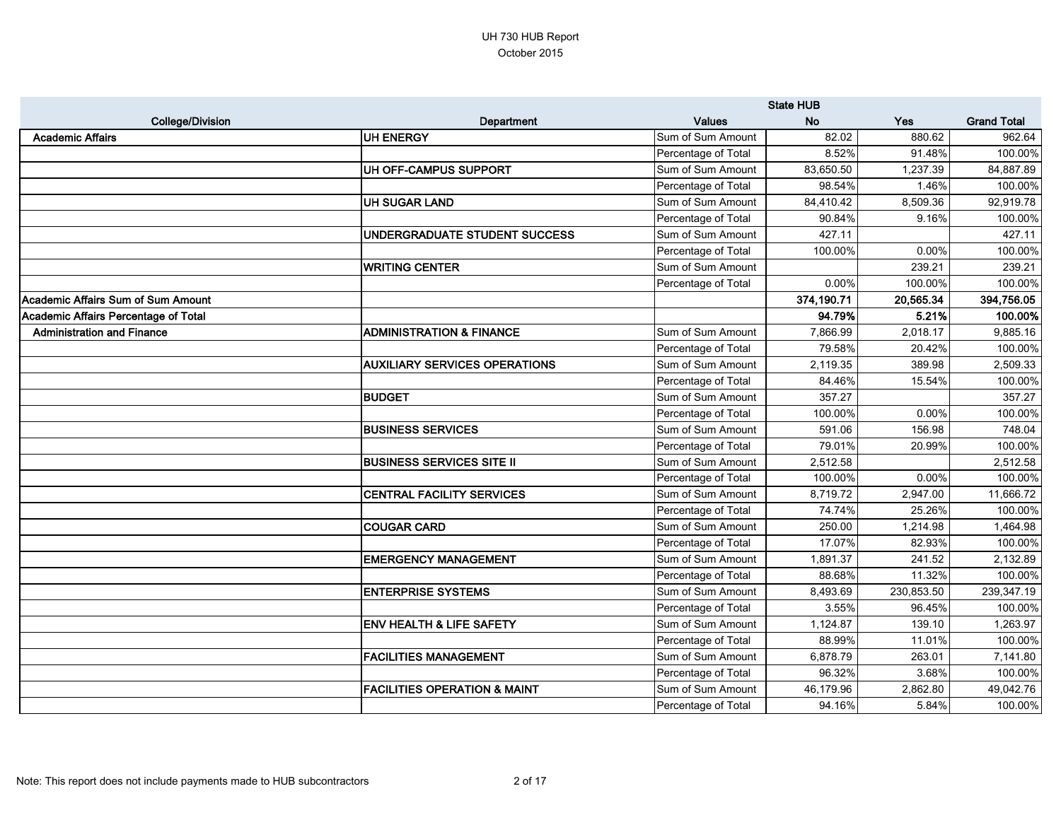|                                           |                                         |                     | <b>State HUB</b> |            |                    |
|-------------------------------------------|-----------------------------------------|---------------------|------------------|------------|--------------------|
| <b>College/Division</b>                   | Department                              | <b>Values</b>       | <b>No</b>        | Yes        | <b>Grand Total</b> |
| <b>Academic Affairs</b>                   | UH ENERGY                               | Sum of Sum Amount   | 82.02            | 880.62     | 962.64             |
|                                           |                                         | Percentage of Total | 8.52%            | 91.48%     | 100.00%            |
|                                           | UH OFF-CAMPUS SUPPORT                   | Sum of Sum Amount   | 83,650.50        | 1,237.39   | 84,887.89          |
|                                           |                                         | Percentage of Total | 98.54%           | 1.46%      | 100.00%            |
|                                           | UH SUGAR LAND                           | Sum of Sum Amount   | 84,410.42        | 8,509.36   | 92,919.78          |
|                                           |                                         | Percentage of Total | 90.84%           | 9.16%      | 100.00%            |
|                                           | UNDERGRADUATE STUDENT SUCCESS           | Sum of Sum Amount   | 427.11           |            | 427.11             |
|                                           |                                         | Percentage of Total | 100.00%          | 0.00%      | 100.00%            |
|                                           | <b>WRITING CENTER</b>                   | Sum of Sum Amount   |                  | 239.21     | 239.21             |
|                                           |                                         | Percentage of Total | 0.00%            | 100.00%    | 100.00%            |
| <b>Academic Affairs Sum of Sum Amount</b> |                                         |                     | 374,190.71       | 20,565.34  | 394,756.05         |
| Academic Affairs Percentage of Total      |                                         |                     | 94.79%           | 5.21%      | 100.00%            |
| <b>Administration and Finance</b>         | <b>ADMINISTRATION &amp; FINANCE</b>     | Sum of Sum Amount   | 7,866.99         | 2,018.17   | 9,885.16           |
|                                           |                                         | Percentage of Total | 79.58%           | 20.42%     | 100.00%            |
|                                           | <b>AUXILIARY SERVICES OPERATIONS</b>    | Sum of Sum Amount   | 2,119.35         | 389.98     | 2,509.33           |
|                                           |                                         | Percentage of Total | 84.46%           | 15.54%     | 100.00%            |
|                                           | <b>BUDGET</b>                           | Sum of Sum Amount   | 357.27           |            | 357.27             |
|                                           |                                         | Percentage of Total | 100.00%          | 0.00%      | 100.00%            |
|                                           | <b>BUSINESS SERVICES</b>                | Sum of Sum Amount   | 591.06           | 156.98     | 748.04             |
|                                           |                                         | Percentage of Total | 79.01%           | 20.99%     | 100.00%            |
|                                           | <b>BUSINESS SERVICES SITE II</b>        | Sum of Sum Amount   | 2,512.58         |            | 2,512.58           |
|                                           |                                         | Percentage of Total | 100.00%          | 0.00%      | 100.00%            |
|                                           | <b>CENTRAL FACILITY SERVICES</b>        | Sum of Sum Amount   | 8,719.72         | 2,947.00   | 11,666.72          |
|                                           |                                         | Percentage of Total | 74.74%           | 25.26%     | 100.00%            |
|                                           | <b>COUGAR CARD</b>                      | Sum of Sum Amount   | 250.00           | 1,214.98   | 1,464.98           |
|                                           |                                         | Percentage of Total | 17.07%           | 82.93%     | 100.00%            |
|                                           | <b>EMERGENCY MANAGEMENT</b>             | Sum of Sum Amount   | 1,891.37         | 241.52     | 2,132.89           |
|                                           |                                         | Percentage of Total | 88.68%           | 11.32%     | 100.00%            |
|                                           | <b>ENTERPRISE SYSTEMS</b>               | Sum of Sum Amount   | 8,493.69         | 230,853.50 | 239,347.19         |
|                                           |                                         | Percentage of Total | 3.55%            | 96.45%     | 100.00%            |
|                                           | <b>ENV HEALTH &amp; LIFE SAFETY</b>     | Sum of Sum Amount   | 1,124.87         | 139.10     | 1,263.97           |
|                                           |                                         | Percentage of Total | 88.99%           | 11.01%     | 100.00%            |
|                                           | <b>FACILITIES MANAGEMENT</b>            | Sum of Sum Amount   | 6,878.79         | 263.01     | 7,141.80           |
|                                           |                                         | Percentage of Total | 96.32%           | 3.68%      | 100.00%            |
|                                           | <b>FACILITIES OPERATION &amp; MAINT</b> | Sum of Sum Amount   | 46,179.96        | 2,862.80   | 49,042.76          |
|                                           |                                         | Percentage of Total | 94.16%           | 5.84%      | 100.00%            |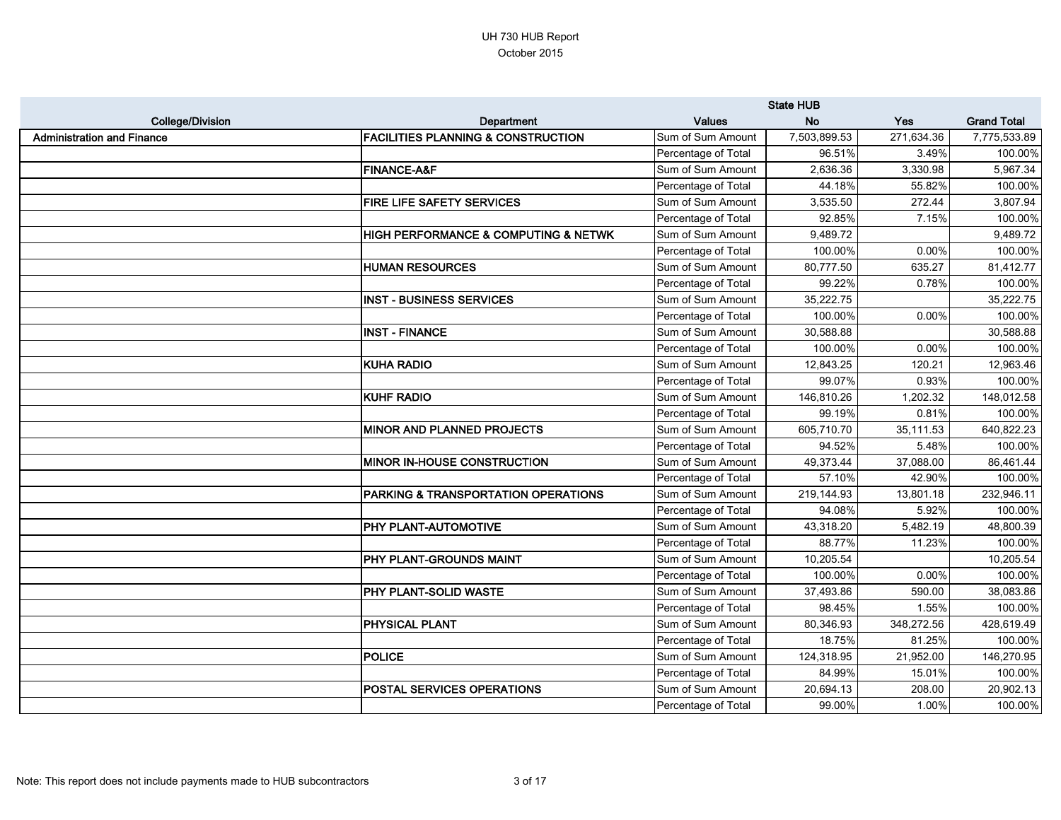|                                   |                                               |                     | <b>State HUB</b> |            |                    |
|-----------------------------------|-----------------------------------------------|---------------------|------------------|------------|--------------------|
| <b>College/Division</b>           | Department                                    | <b>Values</b>       | <b>No</b>        | Yes        | <b>Grand Total</b> |
| <b>Administration and Finance</b> | <b>FACILITIES PLANNING &amp; CONSTRUCTION</b> | Sum of Sum Amount   | 7,503,899.53     | 271,634.36 | 7,775,533.89       |
|                                   |                                               | Percentage of Total | 96.51%           | 3.49%      | 100.00%            |
|                                   | <b>FINANCE-A&amp;F</b>                        | Sum of Sum Amount   | 2,636.36         | 3,330.98   | 5,967.34           |
|                                   |                                               | Percentage of Total | 44.18%           | 55.82%     | 100.00%            |
|                                   | FIRE LIFE SAFETY SERVICES                     | Sum of Sum Amount   | 3,535.50         | 272.44     | 3,807.94           |
|                                   |                                               | Percentage of Total | 92.85%           | 7.15%      | 100.00%            |
|                                   | HIGH PERFORMANCE & COMPUTING & NETWK          | Sum of Sum Amount   | 9,489.72         |            | 9,489.72           |
|                                   |                                               | Percentage of Total | 100.00%          | 0.00%      | 100.00%            |
|                                   | <b>HUMAN RESOURCES</b>                        | Sum of Sum Amount   | 80,777.50        | 635.27     | 81,412.77          |
|                                   |                                               | Percentage of Total | 99.22%           | 0.78%      | 100.00%            |
|                                   | <b>INST - BUSINESS SERVICES</b>               | Sum of Sum Amount   | 35,222.75        |            | 35,222.75          |
|                                   |                                               | Percentage of Total | 100.00%          | 0.00%      | 100.00%            |
|                                   | <b>INST - FINANCE</b>                         | Sum of Sum Amount   | 30,588.88        |            | 30,588.88          |
|                                   |                                               | Percentage of Total | 100.00%          | 0.00%      | 100.00%            |
|                                   | <b>KUHA RADIO</b>                             | Sum of Sum Amount   | 12,843.25        | 120.21     | 12,963.46          |
|                                   |                                               | Percentage of Total | 99.07%           | 0.93%      | 100.00%            |
|                                   | <b>KUHF RADIO</b>                             | Sum of Sum Amount   | 146,810.26       | 1,202.32   | 148,012.58         |
|                                   |                                               | Percentage of Total | 99.19%           | 0.81%      | 100.00%            |
|                                   | <b>MINOR AND PLANNED PROJECTS</b>             | Sum of Sum Amount   | 605,710.70       | 35,111.53  | 640,822.23         |
|                                   |                                               | Percentage of Total | 94.52%           | 5.48%      | 100.00%            |
|                                   | MINOR IN-HOUSE CONSTRUCTION                   | Sum of Sum Amount   | 49,373.44        | 37,088.00  | 86,461.44          |
|                                   |                                               | Percentage of Total | 57.10%           | 42.90%     | 100.00%            |
|                                   | PARKING & TRANSPORTATION OPERATIONS           | Sum of Sum Amount   | 219,144.93       | 13,801.18  | 232,946.11         |
|                                   |                                               | Percentage of Total | 94.08%           | 5.92%      | 100.00%            |
|                                   | PHY PLANT-AUTOMOTIVE                          | Sum of Sum Amount   | 43,318.20        | 5,482.19   | 48,800.39          |
|                                   |                                               | Percentage of Total | 88.77%           | 11.23%     | 100.00%            |
|                                   | PHY PLANT-GROUNDS MAINT                       | Sum of Sum Amount   | 10,205.54        |            | 10,205.54          |
|                                   |                                               | Percentage of Total | 100.00%          | 0.00%      | 100.00%            |
|                                   | PHY PLANT-SOLID WASTE                         | Sum of Sum Amount   | 37,493.86        | 590.00     | 38,083.86          |
|                                   |                                               | Percentage of Total | 98.45%           | 1.55%      | 100.00%            |
|                                   | <b>PHYSICAL PLANT</b>                         | Sum of Sum Amount   | 80,346.93        | 348,272.56 | 428,619.49         |
|                                   |                                               | Percentage of Total | 18.75%           | 81.25%     | 100.00%            |
|                                   | <b>POLICE</b>                                 | Sum of Sum Amount   | 124,318.95       | 21,952.00  | 146,270.95         |
|                                   |                                               | Percentage of Total | 84.99%           | 15.01%     | 100.00%            |
|                                   | POSTAL SERVICES OPERATIONS                    | Sum of Sum Amount   | 20,694.13        | 208.00     | 20,902.13          |
|                                   |                                               | Percentage of Total | 99.00%           | 1.00%      | 100.00%            |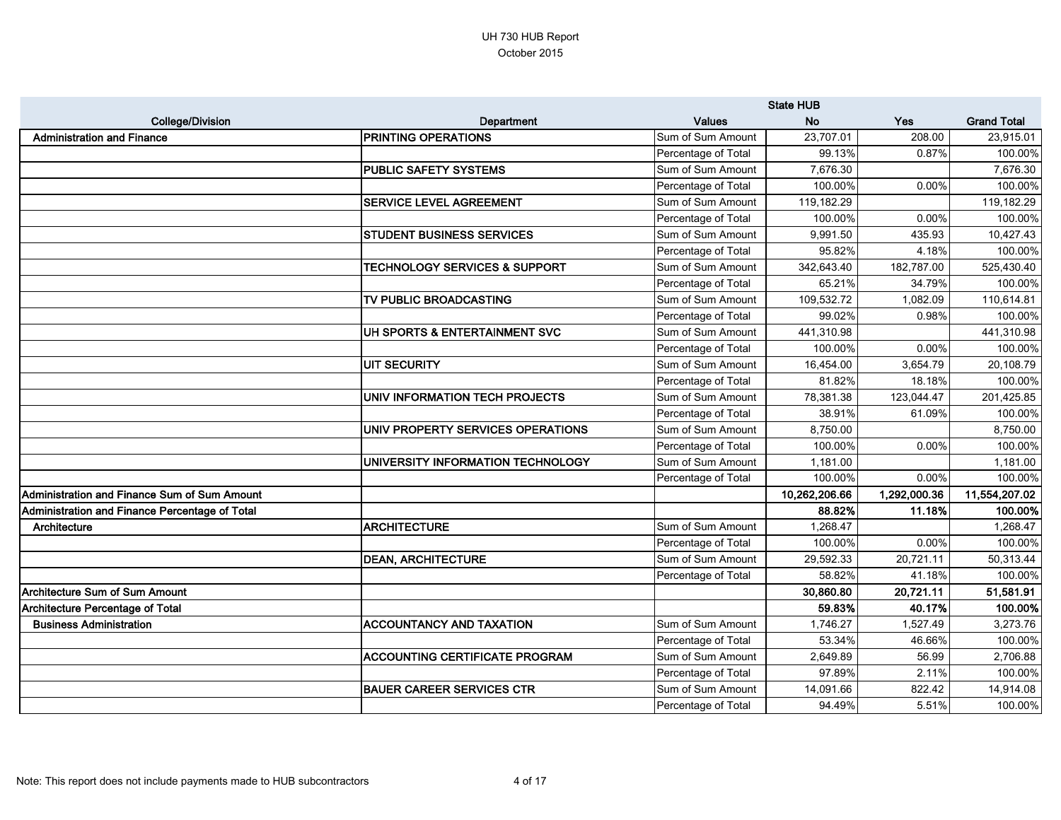|                                                |                                          |                     | <b>State HUB</b> |              |                    |
|------------------------------------------------|------------------------------------------|---------------------|------------------|--------------|--------------------|
| <b>College/Division</b>                        | <b>Department</b>                        | <b>Values</b>       | <b>No</b>        | Yes          | <b>Grand Total</b> |
| <b>Administration and Finance</b>              | <b>PRINTING OPERATIONS</b>               | Sum of Sum Amount   | 23,707.01        | 208.00       | 23,915.01          |
|                                                |                                          | Percentage of Total | 99.13%           | 0.87%        | 100.00%            |
|                                                | <b>PUBLIC SAFETY SYSTEMS</b>             | Sum of Sum Amount   | 7,676.30         |              | 7,676.30           |
|                                                |                                          | Percentage of Total | 100.00%          | 0.00%        | 100.00%            |
|                                                | SERVICE LEVEL AGREEMENT                  | Sum of Sum Amount   | 119,182.29       |              | 119,182.29         |
|                                                |                                          | Percentage of Total | 100.00%          | 0.00%        | 100.00%            |
|                                                | <b>STUDENT BUSINESS SERVICES</b>         | Sum of Sum Amount   | 9,991.50         | 435.93       | 10,427.43          |
|                                                |                                          | Percentage of Total | 95.82%           | 4.18%        | 100.00%            |
|                                                | <b>TECHNOLOGY SERVICES &amp; SUPPORT</b> | Sum of Sum Amount   | 342,643.40       | 182,787.00   | 525,430.40         |
|                                                |                                          | Percentage of Total | 65.21%           | 34.79%       | 100.00%            |
|                                                | TV PUBLIC BROADCASTING                   | Sum of Sum Amount   | 109,532.72       | 1,082.09     | 110,614.81         |
|                                                |                                          | Percentage of Total | 99.02%           | 0.98%        | 100.00%            |
|                                                | UH SPORTS & ENTERTAINMENT SVC            | Sum of Sum Amount   | 441,310.98       |              | 441,310.98         |
|                                                |                                          | Percentage of Total | 100.00%          | 0.00%        | 100.00%            |
|                                                | UIT SECURITY                             | Sum of Sum Amount   | 16,454.00        | 3,654.79     | 20,108.79          |
|                                                |                                          | Percentage of Total | 81.82%           | 18.18%       | 100.00%            |
|                                                | UNIV INFORMATION TECH PROJECTS           | Sum of Sum Amount   | 78,381.38        | 123,044.47   | 201,425.85         |
|                                                |                                          | Percentage of Total | 38.91%           | 61.09%       | 100.00%            |
|                                                | UNIV PROPERTY SERVICES OPERATIONS        | Sum of Sum Amount   | 8,750.00         |              | 8,750.00           |
|                                                |                                          | Percentage of Total | 100.00%          | 0.00%        | 100.00%            |
|                                                | UNIVERSITY INFORMATION TECHNOLOGY        | Sum of Sum Amount   | 1,181.00         |              | 1,181.00           |
|                                                |                                          | Percentage of Total | 100.00%          | 0.00%        | 100.00%            |
| Administration and Finance Sum of Sum Amount   |                                          |                     | 10,262,206.66    | 1,292,000.36 | 11,554,207.02      |
| Administration and Finance Percentage of Total |                                          |                     | 88.82%           | 11.18%       | 100.00%            |
| Architecture                                   | <b>ARCHITECTURE</b>                      | Sum of Sum Amount   | 1,268.47         |              | 1,268.47           |
|                                                |                                          | Percentage of Total | 100.00%          | 0.00%        | 100.00%            |
|                                                | <b>DEAN, ARCHITECTURE</b>                | Sum of Sum Amount   | 29,592.33        | 20,721.11    | 50,313.44          |
|                                                |                                          | Percentage of Total | 58.82%           | 41.18%       | 100.00%            |
| Architecture Sum of Sum Amount                 |                                          |                     | 30,860.80        | 20,721.11    | 51,581.91          |
| Architecture Percentage of Total               |                                          |                     | 59.83%           | 40.17%       | 100.00%            |
| <b>Business Administration</b>                 | <b>ACCOUNTANCY AND TAXATION</b>          | Sum of Sum Amount   | 1,746.27         | 1,527.49     | 3,273.76           |
|                                                |                                          | Percentage of Total | 53.34%           | 46.66%       | 100.00%            |
|                                                | <b>ACCOUNTING CERTIFICATE PROGRAM</b>    | Sum of Sum Amount   | 2,649.89         | 56.99        | 2,706.88           |
|                                                |                                          | Percentage of Total | 97.89%           | 2.11%        | 100.00%            |
|                                                | <b>BAUER CAREER SERVICES CTR</b>         | Sum of Sum Amount   | 14,091.66        | 822.42       | 14,914.08          |
|                                                |                                          | Percentage of Total | 94.49%           | 5.51%        | 100.00%            |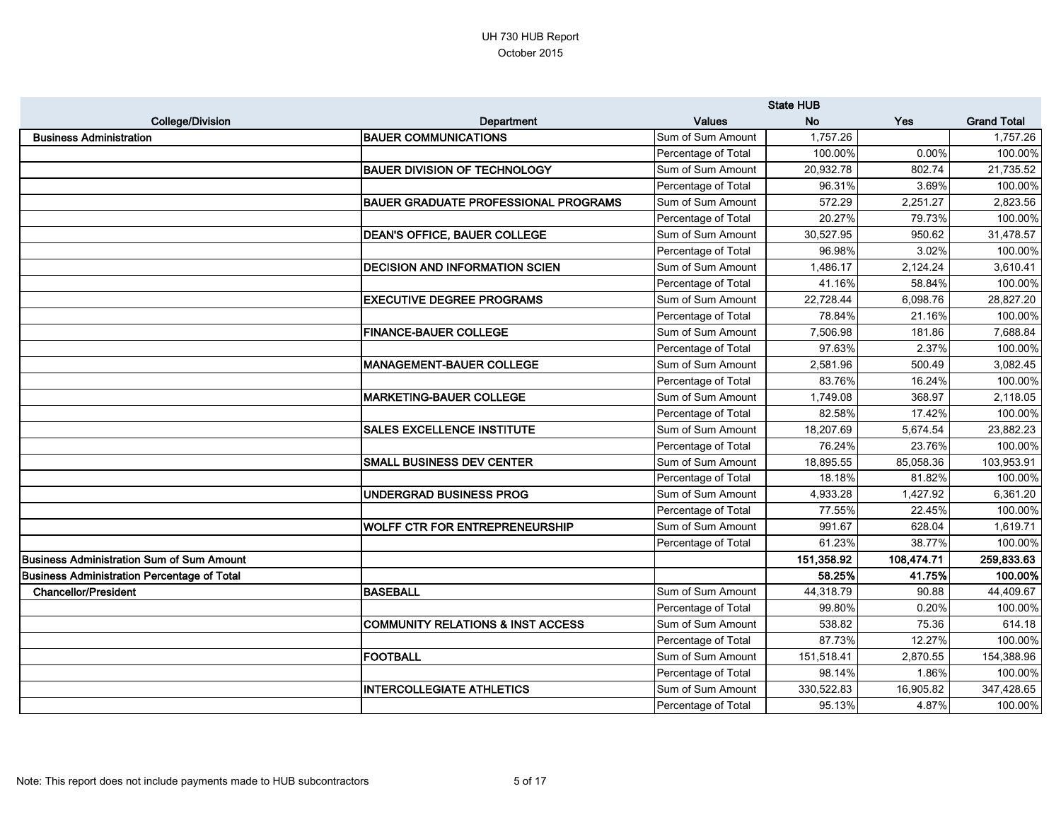|                                                    |                                              |                     | <b>State HUB</b> |            |                    |
|----------------------------------------------------|----------------------------------------------|---------------------|------------------|------------|--------------------|
| <b>College/Division</b>                            | Department                                   | <b>Values</b>       | <b>No</b>        | Yes        | <b>Grand Total</b> |
| <b>Business Administration</b>                     | <b>BAUER COMMUNICATIONS</b>                  | Sum of Sum Amount   | 1,757.26         |            | 1,757.26           |
|                                                    |                                              | Percentage of Total | 100.00%          | 0.00%      | 100.00%            |
|                                                    | <b>BAUER DIVISION OF TECHNOLOGY</b>          | Sum of Sum Amount   | 20,932.78        | 802.74     | 21,735.52          |
|                                                    |                                              | Percentage of Total | 96.31%           | 3.69%      | 100.00%            |
|                                                    | <b>BAUER GRADUATE PROFESSIONAL PROGRAMS</b>  | Sum of Sum Amount   | 572.29           | 2,251.27   | 2,823.56           |
|                                                    |                                              | Percentage of Total | 20.27%           | 79.73%     | 100.00%            |
|                                                    | <b>DEAN'S OFFICE, BAUER COLLEGE</b>          | Sum of Sum Amount   | 30,527.95        | 950.62     | 31,478.57          |
|                                                    |                                              | Percentage of Total | 96.98%           | 3.02%      | 100.00%            |
|                                                    | <b>DECISION AND INFORMATION SCIEN</b>        | Sum of Sum Amount   | 1,486.17         | 2,124.24   | 3,610.41           |
|                                                    |                                              | Percentage of Total | 41.16%           | 58.84%     | 100.00%            |
|                                                    | <b>EXECUTIVE DEGREE PROGRAMS</b>             | Sum of Sum Amount   | 22,728.44        | 6,098.76   | 28,827.20          |
|                                                    |                                              | Percentage of Total | 78.84%           | 21.16%     | 100.00%            |
|                                                    | <b>FINANCE-BAUER COLLEGE</b>                 | Sum of Sum Amount   | 7,506.98         | 181.86     | 7,688.84           |
|                                                    |                                              | Percentage of Total | 97.63%           | 2.37%      | 100.00%            |
|                                                    | <b>MANAGEMENT-BAUER COLLEGE</b>              | Sum of Sum Amount   | 2,581.96         | 500.49     | 3,082.45           |
|                                                    |                                              | Percentage of Total | 83.76%           | 16.24%     | 100.00%            |
|                                                    | <b>MARKETING-BAUER COLLEGE</b>               | Sum of Sum Amount   | 1,749.08         | 368.97     | 2,118.05           |
|                                                    |                                              | Percentage of Total | 82.58%           | 17.42%     | 100.00%            |
|                                                    | <b>SALES EXCELLENCE INSTITUTE</b>            | Sum of Sum Amount   | 18,207.69        | 5,674.54   | 23,882.23          |
|                                                    |                                              | Percentage of Total | 76.24%           | 23.76%     | 100.00%            |
|                                                    | <b>SMALL BUSINESS DEV CENTER</b>             | Sum of Sum Amount   | 18,895.55        | 85,058.36  | 103,953.91         |
|                                                    |                                              | Percentage of Total | 18.18%           | 81.82%     | 100.00%            |
|                                                    | UNDERGRAD BUSINESS PROG                      | Sum of Sum Amount   | 4,933.28         | 1,427.92   | 6,361.20           |
|                                                    |                                              | Percentage of Total | 77.55%           | 22.45%     | 100.00%            |
|                                                    | <b>WOLFF CTR FOR ENTREPRENEURSHIP</b>        | Sum of Sum Amount   | 991.67           | 628.04     | 1,619.71           |
|                                                    |                                              | Percentage of Total | 61.23%           | 38.77%     | 100.00%            |
| <b>Business Administration Sum of Sum Amount</b>   |                                              |                     | 151,358.92       | 108,474.71 | 259,833.63         |
| <b>Business Administration Percentage of Total</b> |                                              |                     | 58.25%           | 41.75%     | 100.00%            |
| <b>Chancellor/President</b>                        | <b>BASEBALL</b>                              | Sum of Sum Amount   | 44,318.79        | 90.88      | 44,409.67          |
|                                                    |                                              | Percentage of Total | 99.80%           | 0.20%      | 100.00%            |
|                                                    | <b>COMMUNITY RELATIONS &amp; INST ACCESS</b> | Sum of Sum Amount   | 538.82           | 75.36      | 614.18             |
|                                                    |                                              | Percentage of Total | 87.73%           | 12.27%     | 100.00%            |
|                                                    | <b>FOOTBALL</b>                              | Sum of Sum Amount   | 151,518.41       | 2,870.55   | 154,388.96         |
|                                                    |                                              | Percentage of Total | 98.14%           | 1.86%      | 100.00%            |
|                                                    | <b>INTERCOLLEGIATE ATHLETICS</b>             | Sum of Sum Amount   | 330,522.83       | 16,905.82  | 347,428.65         |
|                                                    |                                              | Percentage of Total | 95.13%           | 4.87%      | 100.00%            |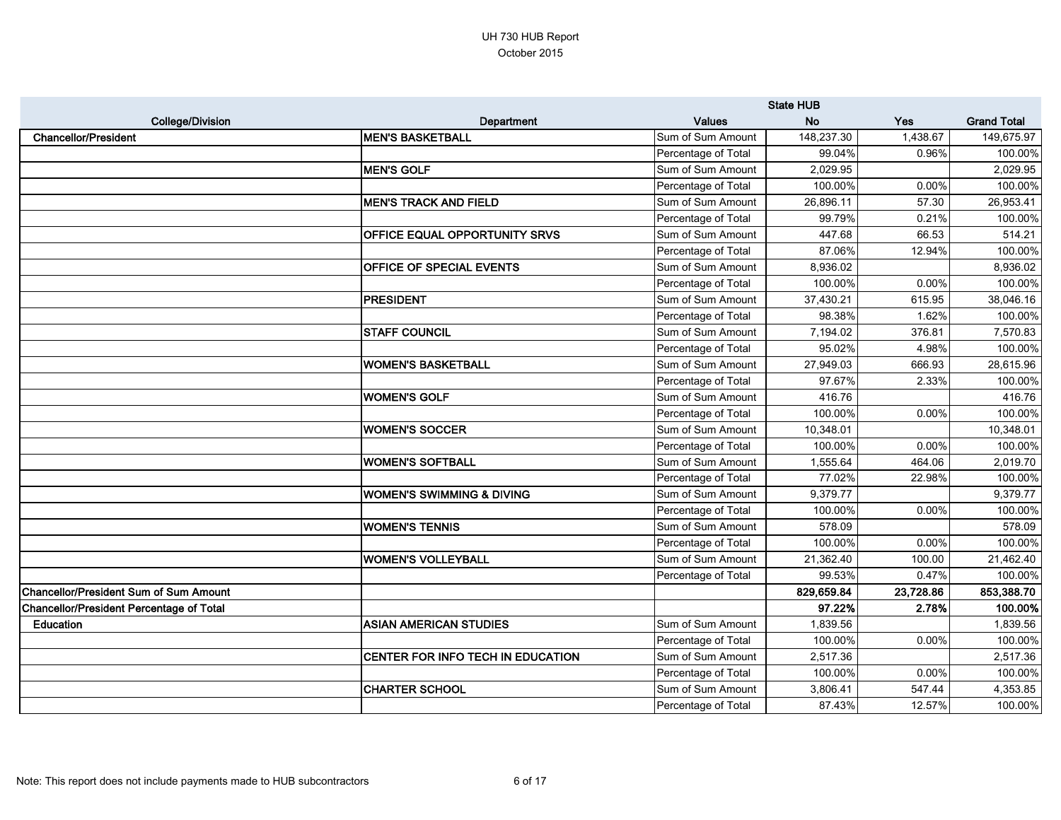|                                          |                                      |                     | <b>State HUB</b> |           |                    |
|------------------------------------------|--------------------------------------|---------------------|------------------|-----------|--------------------|
| <b>College/Division</b>                  | Department                           | <b>Values</b>       | <b>No</b>        | Yes       | <b>Grand Total</b> |
| <b>Chancellor/President</b>              | <b>MEN'S BASKETBALL</b>              | Sum of Sum Amount   | 148,237.30       | 1,438.67  | 149,675.97         |
|                                          |                                      | Percentage of Total | 99.04%           | 0.96%     | 100.00%            |
|                                          | <b>MEN'S GOLF</b>                    | Sum of Sum Amount   | 2,029.95         |           | 2,029.95           |
|                                          |                                      | Percentage of Total | 100.00%          | 0.00%     | 100.00%            |
|                                          | <b>MEN'S TRACK AND FIELD</b>         | Sum of Sum Amount   | 26,896.11        | 57.30     | 26,953.41          |
|                                          |                                      | Percentage of Total | 99.79%           | 0.21%     | 100.00%            |
|                                          | <b>OFFICE EQUAL OPPORTUNITY SRVS</b> | Sum of Sum Amount   | 447.68           | 66.53     | 514.21             |
|                                          |                                      | Percentage of Total | 87.06%           | 12.94%    | 100.00%            |
|                                          | <b>OFFICE OF SPECIAL EVENTS</b>      | Sum of Sum Amount   | 8,936.02         |           | 8,936.02           |
|                                          |                                      | Percentage of Total | 100.00%          | 0.00%     | 100.00%            |
|                                          | <b>PRESIDENT</b>                     | Sum of Sum Amount   | 37,430.21        | 615.95    | 38,046.16          |
|                                          |                                      | Percentage of Total | 98.38%           | 1.62%     | 100.00%            |
|                                          | <b>STAFF COUNCIL</b>                 | Sum of Sum Amount   | 7,194.02         | 376.81    | 7,570.83           |
|                                          |                                      | Percentage of Total | 95.02%           | 4.98%     | 100.00%            |
|                                          | <b>WOMEN'S BASKETBALL</b>            | Sum of Sum Amount   | 27,949.03        | 666.93    | 28,615.96          |
|                                          |                                      | Percentage of Total | 97.67%           | 2.33%     | 100.00%            |
|                                          | <b>WOMEN'S GOLF</b>                  | Sum of Sum Amount   | 416.76           |           | 416.76             |
|                                          |                                      | Percentage of Total | 100.00%          | 0.00%     | 100.00%            |
|                                          | <b>WOMEN'S SOCCER</b>                | Sum of Sum Amount   | 10,348.01        |           | 10,348.01          |
|                                          |                                      | Percentage of Total | 100.00%          | 0.00%     | 100.00%            |
|                                          | <b>WOMEN'S SOFTBALL</b>              | Sum of Sum Amount   | 1,555.64         | 464.06    | 2,019.70           |
|                                          |                                      | Percentage of Total | 77.02%           | 22.98%    | 100.00%            |
|                                          | <b>WOMEN'S SWIMMING &amp; DIVING</b> | Sum of Sum Amount   | 9,379.77         |           | 9,379.77           |
|                                          |                                      | Percentage of Total | 100.00%          | 0.00%     | 100.00%            |
|                                          | <b>WOMEN'S TENNIS</b>                | Sum of Sum Amount   | 578.09           |           | 578.09             |
|                                          |                                      | Percentage of Total | 100.00%          | 0.00%     | 100.00%            |
|                                          | <b>WOMEN'S VOLLEYBALL</b>            | Sum of Sum Amount   | 21,362.40        | 100.00    | 21,462.40          |
|                                          |                                      | Percentage of Total | 99.53%           | 0.47%     | 100.00%            |
| Chancellor/President Sum of Sum Amount   |                                      |                     | 829,659.84       | 23,728.86 | 853,388.70         |
| Chancellor/President Percentage of Total |                                      |                     | 97.22%           | 2.78%     | 100.00%            |
| <b>Education</b>                         | <b>ASIAN AMERICAN STUDIES</b>        | Sum of Sum Amount   | 1,839.56         |           | 1,839.56           |
|                                          |                                      | Percentage of Total | 100.00%          | 0.00%     | 100.00%            |
|                                          | CENTER FOR INFO TECH IN EDUCATION    | Sum of Sum Amount   | 2,517.36         |           | 2,517.36           |
|                                          |                                      | Percentage of Total | 100.00%          | 0.00%     | 100.00%            |
|                                          | <b>CHARTER SCHOOL</b>                | Sum of Sum Amount   | 3,806.41         | 547.44    | 4,353.85           |
|                                          |                                      | Percentage of Total | 87.43%           | 12.57%    | 100.00%            |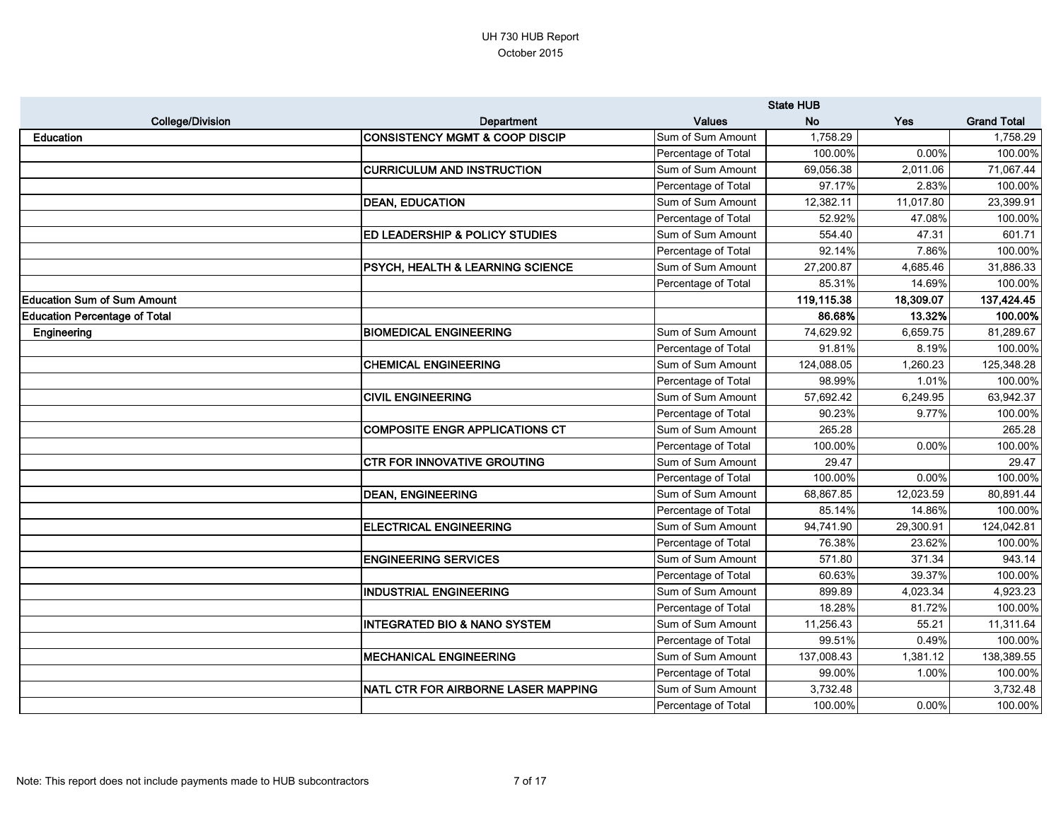|                                      |                                             |                     | <b>State HUB</b> |            |                    |
|--------------------------------------|---------------------------------------------|---------------------|------------------|------------|--------------------|
| <b>College/Division</b>              | Department                                  | <b>Values</b>       | <b>No</b>        | <b>Yes</b> | <b>Grand Total</b> |
| <b>Education</b>                     | <b>CONSISTENCY MGMT &amp; COOP DISCIP</b>   | Sum of Sum Amount   | 1,758.29         |            | 1,758.29           |
|                                      |                                             | Percentage of Total | 100.00%          | 0.00%      | 100.00%            |
|                                      | <b>CURRICULUM AND INSTRUCTION</b>           | Sum of Sum Amount   | 69,056.38        | 2,011.06   | 71,067.44          |
|                                      |                                             | Percentage of Total | 97.17%           | 2.83%      | 100.00%            |
|                                      | <b>DEAN, EDUCATION</b>                      | Sum of Sum Amount   | 12,382.11        | 11,017.80  | 23,399.91          |
|                                      |                                             | Percentage of Total | 52.92%           | 47.08%     | 100.00%            |
|                                      | <b>ED LEADERSHIP &amp; POLICY STUDIES</b>   | Sum of Sum Amount   | 554.40           | 47.31      | 601.71             |
|                                      |                                             | Percentage of Total | 92.14%           | 7.86%      | 100.00%            |
|                                      | <b>PSYCH, HEALTH &amp; LEARNING SCIENCE</b> | Sum of Sum Amount   | 27,200.87        | 4,685.46   | 31,886.33          |
|                                      |                                             | Percentage of Total | 85.31%           | 14.69%     | 100.00%            |
| <b>Education Sum of Sum Amount</b>   |                                             |                     | 119,115.38       | 18,309.07  | 137,424.45         |
| <b>Education Percentage of Total</b> |                                             |                     | 86.68%           | 13.32%     | 100.00%            |
| Engineering                          | <b>BIOMEDICAL ENGINEERING</b>               | Sum of Sum Amount   | 74,629.92        | 6,659.75   | 81,289.67          |
|                                      |                                             | Percentage of Total | 91.81%           | 8.19%      | 100.00%            |
|                                      | <b>CHEMICAL ENGINEERING</b>                 | Sum of Sum Amount   | 124,088.05       | 1,260.23   | 125,348.28         |
|                                      |                                             | Percentage of Total | 98.99%           | 1.01%      | 100.00%            |
|                                      | <b>CIVIL ENGINEERING</b>                    | Sum of Sum Amount   | 57,692.42        | 6,249.95   | 63,942.37          |
|                                      |                                             | Percentage of Total | 90.23%           | 9.77%      | 100.00%            |
|                                      | <b>COMPOSITE ENGR APPLICATIONS CT</b>       | Sum of Sum Amount   | 265.28           |            | 265.28             |
|                                      |                                             | Percentage of Total | 100.00%          | 0.00%      | 100.00%            |
|                                      | <b>CTR FOR INNOVATIVE GROUTING</b>          | Sum of Sum Amount   | 29.47            |            | 29.47              |
|                                      |                                             | Percentage of Total | 100.00%          | 0.00%      | 100.00%            |
|                                      | <b>DEAN, ENGINEERING</b>                    | Sum of Sum Amount   | 68,867.85        | 12,023.59  | 80,891.44          |
|                                      |                                             | Percentage of Total | 85.14%           | 14.86%     | 100.00%            |
|                                      | <b>ELECTRICAL ENGINEERING</b>               | Sum of Sum Amount   | 94,741.90        | 29,300.91  | 124,042.81         |
|                                      |                                             | Percentage of Total | 76.38%           | 23.62%     | 100.00%            |
|                                      | <b>ENGINEERING SERVICES</b>                 | Sum of Sum Amount   | 571.80           | 371.34     | 943.14             |
|                                      |                                             | Percentage of Total | 60.63%           | 39.37%     | 100.00%            |
|                                      | <b>IINDUSTRIAL ENGINEERING</b>              | Sum of Sum Amount   | 899.89           | 4,023.34   | 4,923.23           |
|                                      |                                             | Percentage of Total | 18.28%           | 81.72%     | 100.00%            |
|                                      | <b>INTEGRATED BIO &amp; NANO SYSTEM</b>     | Sum of Sum Amount   | 11,256.43        | 55.21      | 11,311.64          |
|                                      |                                             | Percentage of Total | 99.51%           | 0.49%      | 100.00%            |
|                                      | <b>MECHANICAL ENGINEERING</b>               | Sum of Sum Amount   | 137,008.43       | 1,381.12   | 138,389.55         |
|                                      |                                             | Percentage of Total | 99.00%           | 1.00%      | 100.00%            |
|                                      | NATL CTR FOR AIRBORNE LASER MAPPING         | Sum of Sum Amount   | 3,732.48         |            | 3,732.48           |
|                                      |                                             | Percentage of Total | 100.00%          | 0.00%      | 100.00%            |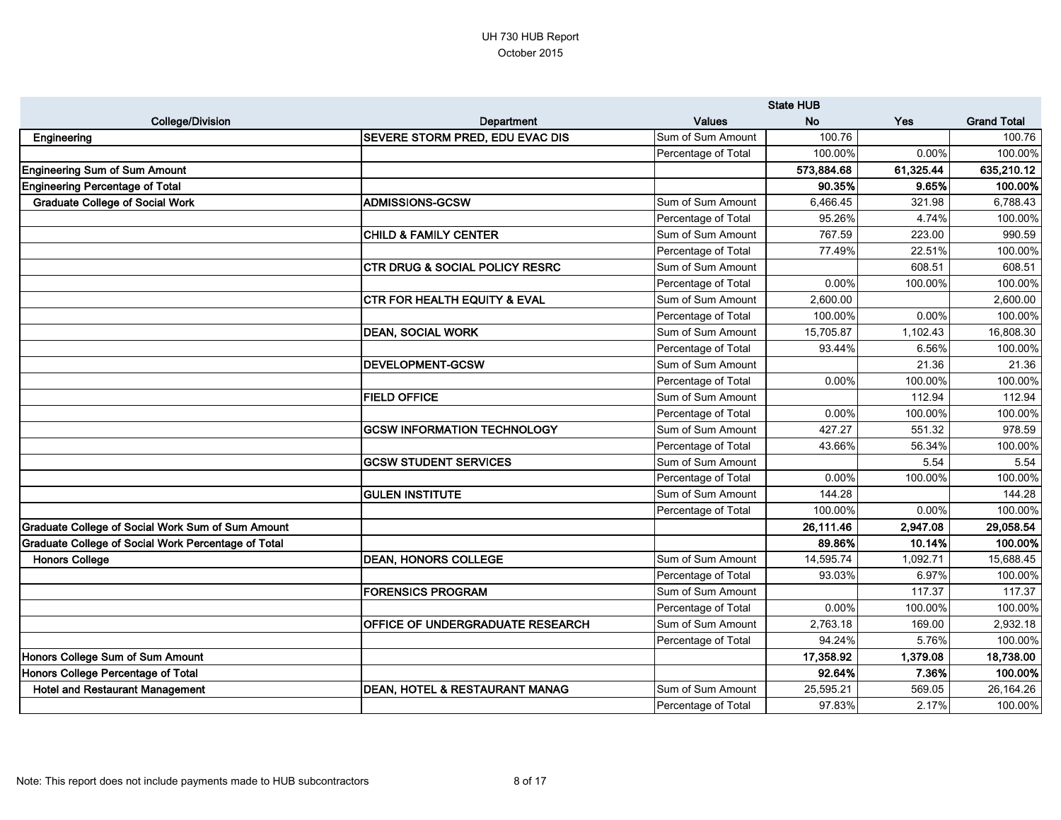|                                                            |                                           |                     | <b>State HUB</b> |           |                    |
|------------------------------------------------------------|-------------------------------------------|---------------------|------------------|-----------|--------------------|
| <b>College/Division</b>                                    | <b>Department</b>                         | <b>Values</b>       | <b>No</b>        | Yes       | <b>Grand Total</b> |
| Engineering                                                | <b>SEVERE STORM PRED, EDU EVAC DIS</b>    | Sum of Sum Amount   | 100.76           |           | 100.76             |
|                                                            |                                           | Percentage of Total | 100.00%          | 0.00%     | 100.00%            |
| <b>Engineering Sum of Sum Amount</b>                       |                                           |                     | 573,884.68       | 61,325.44 | 635,210.12         |
| <b>Engineering Percentage of Total</b>                     |                                           |                     | 90.35%           | 9.65%     | 100.00%            |
| <b>Graduate College of Social Work</b>                     | <b>ADMISSIONS-GCSW</b>                    | Sum of Sum Amount   | 6,466.45         | 321.98    | 6,788.43           |
|                                                            |                                           | Percentage of Total | 95.26%           | 4.74%     | 100.00%            |
|                                                            | <b>CHILD &amp; FAMILY CENTER</b>          | Sum of Sum Amount   | 767.59           | 223.00    | 990.59             |
|                                                            |                                           | Percentage of Total | 77.49%           | 22.51%    | 100.00%            |
|                                                            | <b>CTR DRUG &amp; SOCIAL POLICY RESRC</b> | Sum of Sum Amount   |                  | 608.51    | 608.51             |
|                                                            |                                           | Percentage of Total | 0.00%            | 100.00%   | 100.00%            |
|                                                            | <b>CTR FOR HEALTH EQUITY &amp; EVAL</b>   | Sum of Sum Amount   | 2,600.00         |           | 2,600.00           |
|                                                            |                                           | Percentage of Total | 100.00%          | 0.00%     | 100.00%            |
|                                                            | <b>DEAN, SOCIAL WORK</b>                  | Sum of Sum Amount   | 15,705.87        | 1,102.43  | 16,808.30          |
|                                                            |                                           | Percentage of Total | 93.44%           | 6.56%     | 100.00%            |
|                                                            | <b>DEVELOPMENT-GCSW</b>                   | Sum of Sum Amount   |                  | 21.36     | 21.36              |
|                                                            |                                           | Percentage of Total | 0.00%            | 100.00%   | 100.00%            |
|                                                            | <b>FIELD OFFICE</b>                       | Sum of Sum Amount   |                  | 112.94    | 112.94             |
|                                                            |                                           | Percentage of Total | 0.00%            | 100.00%   | 100.00%            |
|                                                            | <b>GCSW INFORMATION TECHNOLOGY</b>        | Sum of Sum Amount   | 427.27           | 551.32    | 978.59             |
|                                                            |                                           | Percentage of Total | 43.66%           | 56.34%    | 100.00%            |
|                                                            | <b>GCSW STUDENT SERVICES</b>              | Sum of Sum Amount   |                  | 5.54      | 5.54               |
|                                                            |                                           | Percentage of Total | 0.00%            | 100.00%   | 100.00%            |
|                                                            | <b>GULEN INSTITUTE</b>                    | Sum of Sum Amount   | 144.28           |           | 144.28             |
|                                                            |                                           | Percentage of Total | 100.00%          | 0.00%     | 100.00%            |
| <b>Graduate College of Social Work Sum of Sum Amount</b>   |                                           |                     | 26,111.46        | 2,947.08  | 29,058.54          |
| <b>Graduate College of Social Work Percentage of Total</b> |                                           |                     | 89.86%           | 10.14%    | 100.00%            |
| <b>Honors College</b>                                      | <b>DEAN, HONORS COLLEGE</b>               | Sum of Sum Amount   | 14,595.74        | 1,092.71  | 15,688.45          |
|                                                            |                                           | Percentage of Total | 93.03%           | 6.97%     | 100.00%            |
|                                                            | <b>FORENSICS PROGRAM</b>                  | Sum of Sum Amount   |                  | 117.37    | 117.37             |
|                                                            |                                           | Percentage of Total | 0.00%            | 100.00%   | 100.00%            |
|                                                            | <b>OFFICE OF UNDERGRADUATE RESEARCH</b>   | Sum of Sum Amount   | 2,763.18         | 169.00    | 2,932.18           |
|                                                            |                                           | Percentage of Total | 94.24%           | 5.76%     | 100.00%            |
| Honors College Sum of Sum Amount                           |                                           |                     | 17,358.92        | 1,379.08  | 18,738.00          |
| Honors College Percentage of Total                         |                                           |                     | 92.64%           | 7.36%     | 100.00%            |
| <b>Hotel and Restaurant Management</b>                     | <b>DEAN, HOTEL &amp; RESTAURANT MANAG</b> | Sum of Sum Amount   | 25,595.21        | 569.05    | 26,164.26          |
|                                                            |                                           | Percentage of Total | 97.83%           | 2.17%     | 100.00%            |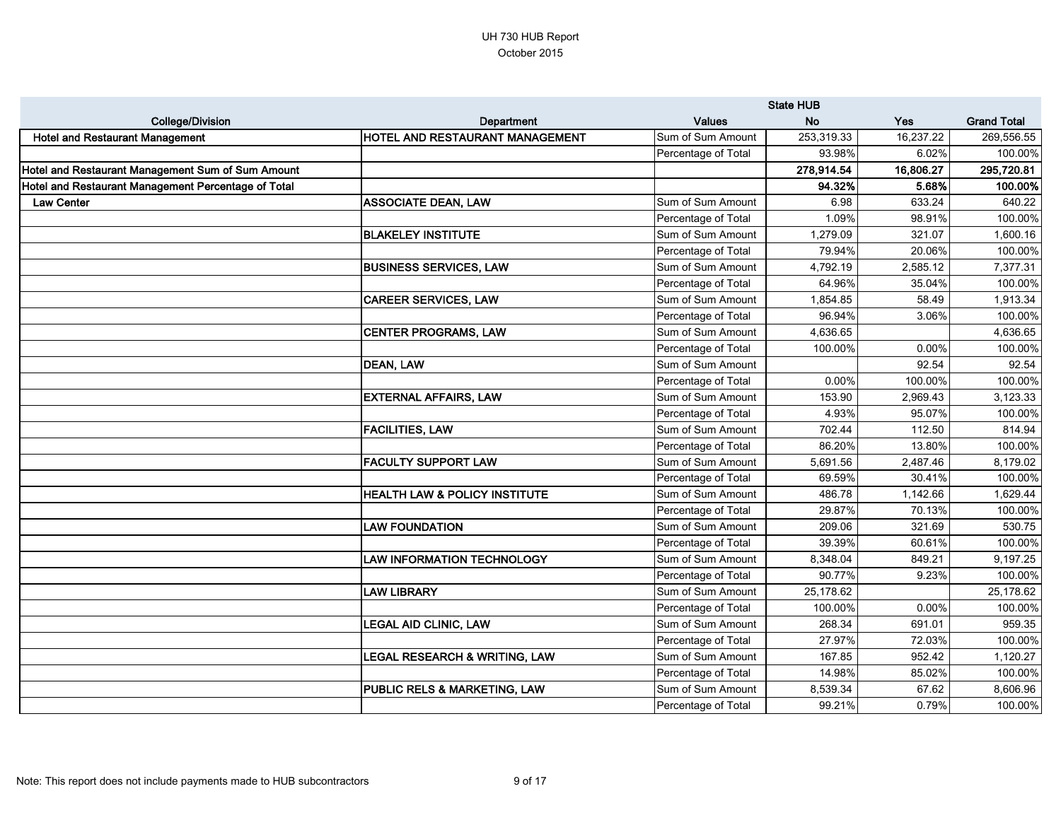|                                                     |                                          |                     | <b>State HUB</b> |            |                    |
|-----------------------------------------------------|------------------------------------------|---------------------|------------------|------------|--------------------|
| <b>College/Division</b>                             | <b>Department</b>                        | <b>Values</b>       | <b>No</b>        | <b>Yes</b> | <b>Grand Total</b> |
| <b>Hotel and Restaurant Management</b>              | HOTEL AND RESTAURANT MANAGEMENT          | Sum of Sum Amount   | 253,319.33       | 16,237.22  | 269,556.55         |
|                                                     |                                          | Percentage of Total | 93.98%           | 6.02%      | 100.00%            |
| Hotel and Restaurant Management Sum of Sum Amount   |                                          |                     | 278,914.54       | 16,806.27  | 295,720.81         |
| Hotel and Restaurant Management Percentage of Total |                                          |                     | 94.32%           | 5.68%      | 100.00%            |
| <b>Law Center</b>                                   | <b>ASSOCIATE DEAN, LAW</b>               | Sum of Sum Amount   | 6.98             | 633.24     | 640.22             |
|                                                     |                                          | Percentage of Total | 1.09%            | 98.91%     | 100.00%            |
|                                                     | <b>BLAKELEY INSTITUTE</b>                | Sum of Sum Amount   | 1,279.09         | 321.07     | 1,600.16           |
|                                                     |                                          | Percentage of Total | 79.94%           | 20.06%     | 100.00%            |
|                                                     | <b>BUSINESS SERVICES, LAW</b>            | Sum of Sum Amount   | 4,792.19         | 2,585.12   | 7,377.31           |
|                                                     |                                          | Percentage of Total | 64.96%           | 35.04%     | 100.00%            |
|                                                     | <b>CAREER SERVICES, LAW</b>              | Sum of Sum Amount   | 1,854.85         | 58.49      | 1,913.34           |
|                                                     |                                          | Percentage of Total | 96.94%           | 3.06%      | 100.00%            |
|                                                     | <b>CENTER PROGRAMS, LAW</b>              | Sum of Sum Amount   | 4,636.65         |            | 4,636.65           |
|                                                     |                                          | Percentage of Total | 100.00%          | 0.00%      | 100.00%            |
|                                                     | <b>DEAN, LAW</b>                         | Sum of Sum Amount   |                  | 92.54      | 92.54              |
|                                                     |                                          | Percentage of Total | 0.00%            | 100.00%    | 100.00%            |
|                                                     | <b>EXTERNAL AFFAIRS, LAW</b>             | Sum of Sum Amount   | 153.90           | 2,969.43   | 3,123.33           |
|                                                     |                                          | Percentage of Total | 4.93%            | 95.07%     | 100.00%            |
|                                                     | <b>FACILITIES, LAW</b>                   | Sum of Sum Amount   | 702.44           | 112.50     | 814.94             |
|                                                     |                                          | Percentage of Total | 86.20%           | 13.80%     | 100.00%            |
|                                                     | <b>FACULTY SUPPORT LAW</b>               | Sum of Sum Amount   | 5,691.56         | 2,487.46   | 8,179.02           |
|                                                     |                                          | Percentage of Total | 69.59%           | 30.41%     | 100.00%            |
|                                                     | <b>HEALTH LAW &amp; POLICY INSTITUTE</b> | Sum of Sum Amount   | 486.78           | 1,142.66   | 1,629.44           |
|                                                     |                                          | Percentage of Total | 29.87%           | 70.13%     | 100.00%            |
|                                                     | <b>LAW FOUNDATION</b>                    | Sum of Sum Amount   | 209.06           | 321.69     | 530.75             |
|                                                     |                                          | Percentage of Total | 39.39%           | 60.61%     | 100.00%            |
|                                                     | <b>LAW INFORMATION TECHNOLOGY</b>        | Sum of Sum Amount   | 8,348.04         | 849.21     | 9,197.25           |
|                                                     |                                          | Percentage of Total | 90.77%           | 9.23%      | 100.00%            |
|                                                     | <b>LAW LIBRARY</b>                       | Sum of Sum Amount   | 25,178.62        |            | 25,178.62          |
|                                                     |                                          | Percentage of Total | 100.00%          | 0.00%      | 100.00%            |
|                                                     | <b>LEGAL AID CLINIC, LAW</b>             | Sum of Sum Amount   | 268.34           | 691.01     | 959.35             |
|                                                     |                                          | Percentage of Total | 27.97%           | 72.03%     | 100.00%            |
|                                                     | LEGAL RESEARCH & WRITING, LAW            | Sum of Sum Amount   | 167.85           | 952.42     | 1,120.27           |
|                                                     |                                          | Percentage of Total | 14.98%           | 85.02%     | 100.00%            |
|                                                     | <b>PUBLIC RELS &amp; MARKETING, LAW</b>  | Sum of Sum Amount   | 8,539.34         | 67.62      | 8,606.96           |
|                                                     |                                          | Percentage of Total | 99.21%           | 0.79%      | 100.00%            |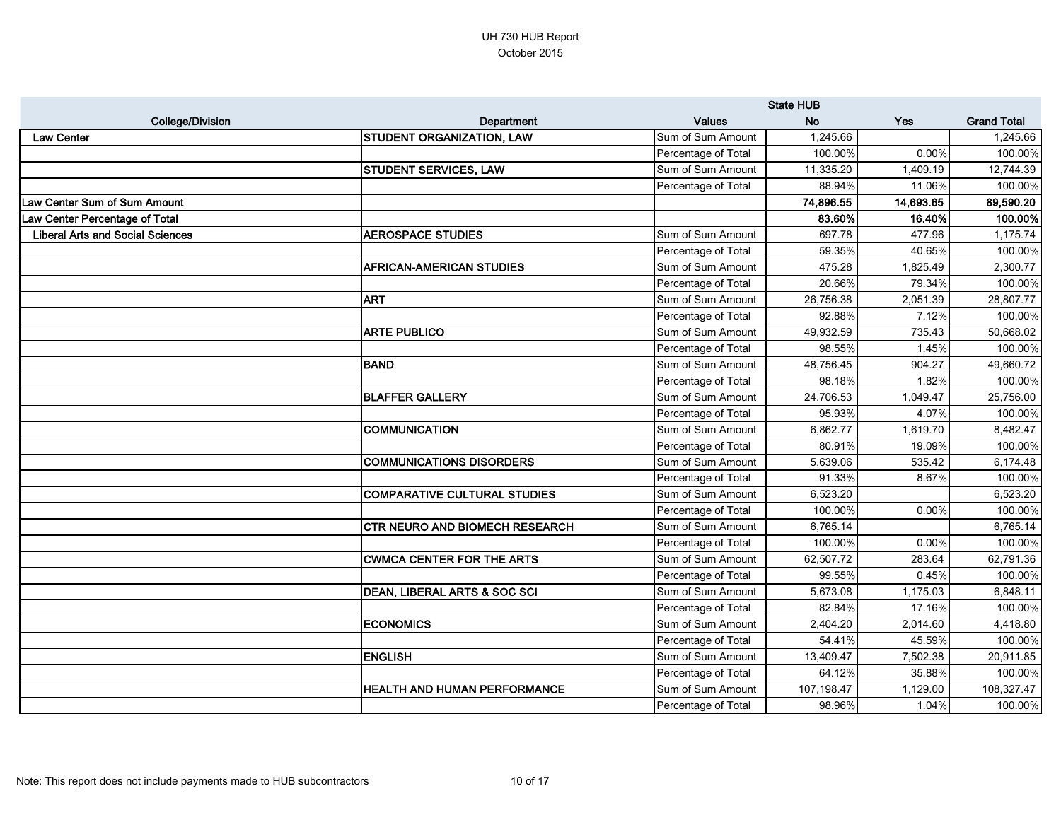|                                         |                                       | <b>State HUB</b>    |            |           |                    |
|-----------------------------------------|---------------------------------------|---------------------|------------|-----------|--------------------|
| <b>College/Division</b>                 | <b>Department</b>                     | <b>Values</b>       | <b>No</b>  | Yes       | <b>Grand Total</b> |
| <b>Law Center</b>                       | <b>STUDENT ORGANIZATION, LAW</b>      | Sum of Sum Amount   | 1,245.66   |           | 1,245.66           |
|                                         |                                       | Percentage of Total | 100.00%    | 0.00%     | 100.00%            |
|                                         | <b>STUDENT SERVICES, LAW</b>          | Sum of Sum Amount   | 11,335.20  | 1,409.19  | 12,744.39          |
|                                         |                                       | Percentage of Total | 88.94%     | 11.06%    | 100.00%            |
| Law Center Sum of Sum Amount            |                                       |                     | 74,896.55  | 14,693.65 | 89,590.20          |
| Law Center Percentage of Total          |                                       |                     | 83.60%     | 16.40%    | 100.00%            |
| <b>Liberal Arts and Social Sciences</b> | <b>AEROSPACE STUDIES</b>              | Sum of Sum Amount   | 697.78     | 477.96    | 1,175.74           |
|                                         |                                       | Percentage of Total | 59.35%     | 40.65%    | 100.00%            |
|                                         | <b>AFRICAN-AMERICAN STUDIES</b>       | Sum of Sum Amount   | 475.28     | 1,825.49  | 2,300.77           |
|                                         |                                       | Percentage of Total | 20.66%     | 79.34%    | 100.00%            |
|                                         | <b>ART</b>                            | Sum of Sum Amount   | 26,756.38  | 2,051.39  | 28,807.77          |
|                                         |                                       | Percentage of Total | 92.88%     | 7.12%     | 100.00%            |
|                                         | <b>ARTE PUBLICO</b>                   | Sum of Sum Amount   | 49,932.59  | 735.43    | 50,668.02          |
|                                         |                                       | Percentage of Total | 98.55%     | 1.45%     | 100.00%            |
|                                         | <b>BAND</b>                           | Sum of Sum Amount   | 48,756.45  | 904.27    | 49,660.72          |
|                                         |                                       | Percentage of Total | 98.18%     | 1.82%     | 100.00%            |
|                                         | <b>BLAFFER GALLERY</b>                | Sum of Sum Amount   | 24,706.53  | 1,049.47  | 25,756.00          |
|                                         |                                       | Percentage of Total | 95.93%     | 4.07%     | 100.00%            |
|                                         | <b>COMMUNICATION</b>                  | Sum of Sum Amount   | 6,862.77   | 1,619.70  | 8,482.47           |
|                                         |                                       | Percentage of Total | 80.91%     | 19.09%    | 100.00%            |
|                                         | <b>COMMUNICATIONS DISORDERS</b>       | Sum of Sum Amount   | 5,639.06   | 535.42    | 6,174.48           |
|                                         |                                       | Percentage of Total | 91.33%     | 8.67%     | 100.00%            |
|                                         | <b>COMPARATIVE CULTURAL STUDIES</b>   | Sum of Sum Amount   | 6,523.20   |           | 6,523.20           |
|                                         |                                       | Percentage of Total | 100.00%    | 0.00%     | 100.00%            |
|                                         | <b>CTR NEURO AND BIOMECH RESEARCH</b> | Sum of Sum Amount   | 6,765.14   |           | 6,765.14           |
|                                         |                                       | Percentage of Total | 100.00%    | 0.00%     | 100.00%            |
|                                         | <b>CWMCA CENTER FOR THE ARTS</b>      | Sum of Sum Amount   | 62,507.72  | 283.64    | 62,791.36          |
|                                         |                                       | Percentage of Total | 99.55%     | 0.45%     | 100.00%            |
|                                         | DEAN, LIBERAL ARTS & SOC SCI          | Sum of Sum Amount   | 5,673.08   | 1,175.03  | 6,848.11           |
|                                         |                                       | Percentage of Total | 82.84%     | 17.16%    | 100.00%            |
|                                         | <b>ECONOMICS</b>                      | Sum of Sum Amount   | 2,404.20   | 2,014.60  | 4,418.80           |
|                                         |                                       | Percentage of Total | 54.41%     | 45.59%    | 100.00%            |
|                                         | <b>ENGLISH</b>                        | Sum of Sum Amount   | 13,409.47  | 7,502.38  | 20,911.85          |
|                                         |                                       | Percentage of Total | 64.12%     | 35.88%    | 100.00%            |
|                                         | HEALTH AND HUMAN PERFORMANCE          | Sum of Sum Amount   | 107,198.47 | 1,129.00  | 108,327.47         |
|                                         |                                       | Percentage of Total | 98.96%     | 1.04%     | 100.00%            |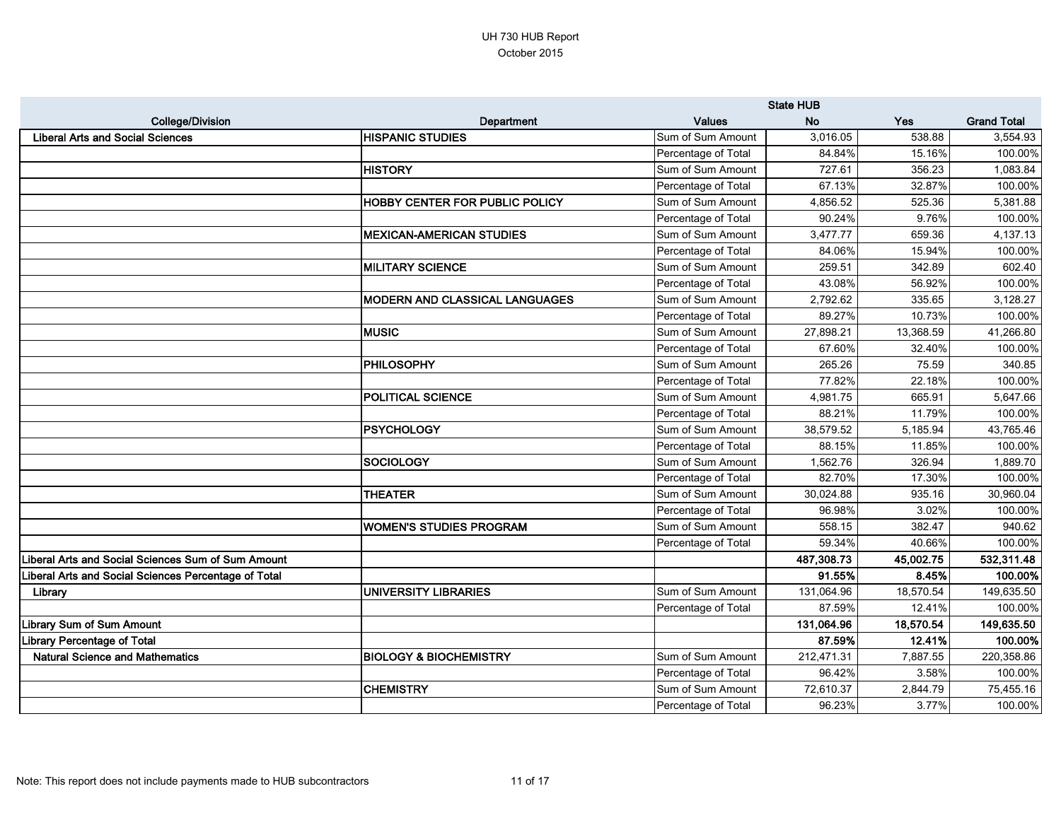|                                                      |                                       |                     | <b>State HUB</b> |           |                    |
|------------------------------------------------------|---------------------------------------|---------------------|------------------|-----------|--------------------|
| <b>College/Division</b>                              | <b>Department</b>                     | <b>Values</b>       | <b>No</b>        | Yes       | <b>Grand Total</b> |
| <b>Liberal Arts and Social Sciences</b>              | <b>HISPANIC STUDIES</b>               | Sum of Sum Amount   | 3,016.05         | 538.88    | 3,554.93           |
|                                                      |                                       | Percentage of Total | 84.84%           | 15.16%    | 100.00%            |
|                                                      | <b>HISTORY</b>                        | Sum of Sum Amount   | 727.61           | 356.23    | 1,083.84           |
|                                                      |                                       | Percentage of Total | 67.13%           | 32.87%    | 100.00%            |
|                                                      | <b>HOBBY CENTER FOR PUBLIC POLICY</b> | Sum of Sum Amount   | 4,856.52         | 525.36    | 5,381.88           |
|                                                      |                                       | Percentage of Total | 90.24%           | 9.76%     | 100.00%            |
|                                                      | <b>MEXICAN-AMERICAN STUDIES</b>       | Sum of Sum Amount   | 3,477.77         | 659.36    | 4,137.13           |
|                                                      |                                       | Percentage of Total | 84.06%           | 15.94%    | 100.00%            |
|                                                      | <b>MILITARY SCIENCE</b>               | Sum of Sum Amount   | 259.51           | 342.89    | 602.40             |
|                                                      |                                       | Percentage of Total | 43.08%           | 56.92%    | 100.00%            |
|                                                      | MODERN AND CLASSICAL LANGUAGES        | Sum of Sum Amount   | 2,792.62         | 335.65    | 3,128.27           |
|                                                      |                                       | Percentage of Total | 89.27%           | 10.73%    | 100.00%            |
|                                                      | <b>MUSIC</b>                          | Sum of Sum Amount   | 27,898.21        | 13,368.59 | 41,266.80          |
|                                                      |                                       | Percentage of Total | 67.60%           | 32.40%    | 100.00%            |
|                                                      | <b>PHILOSOPHY</b>                     | Sum of Sum Amount   | 265.26           | 75.59     | 340.85             |
|                                                      |                                       | Percentage of Total | 77.82%           | 22.18%    | 100.00%            |
|                                                      | <b>POLITICAL SCIENCE</b>              | Sum of Sum Amount   | 4,981.75         | 665.91    | 5,647.66           |
|                                                      |                                       | Percentage of Total | 88.21%           | 11.79%    | 100.00%            |
|                                                      | <b>PSYCHOLOGY</b>                     | Sum of Sum Amount   | 38,579.52        | 5,185.94  | 43,765.46          |
|                                                      |                                       | Percentage of Total | 88.15%           | 11.85%    | 100.00%            |
|                                                      | <b>SOCIOLOGY</b>                      | Sum of Sum Amount   | 1,562.76         | 326.94    | 1,889.70           |
|                                                      |                                       | Percentage of Total | 82.70%           | 17.30%    | 100.00%            |
|                                                      | <b>THEATER</b>                        | Sum of Sum Amount   | 30,024.88        | 935.16    | 30,960.04          |
|                                                      |                                       | Percentage of Total | 96.98%           | 3.02%     | 100.00%            |
|                                                      | <b>WOMEN'S STUDIES PROGRAM</b>        | Sum of Sum Amount   | 558.15           | 382.47    | 940.62             |
|                                                      |                                       | Percentage of Total | 59.34%           | 40.66%    | 100.00%            |
| Liberal Arts and Social Sciences Sum of Sum Amount   |                                       |                     | 487,308.73       | 45,002.75 | 532,311.48         |
| Liberal Arts and Social Sciences Percentage of Total |                                       |                     | 91.55%           | 8.45%     | 100.00%            |
| Library                                              | UNIVERSITY LIBRARIES                  | Sum of Sum Amount   | 131,064.96       | 18,570.54 | 149,635.50         |
|                                                      |                                       | Percentage of Total | 87.59%           | 12.41%    | 100.00%            |
| <b>Library Sum of Sum Amount</b>                     |                                       |                     | 131,064.96       | 18,570.54 | 149,635.50         |
| Library Percentage of Total                          |                                       |                     | 87.59%           | 12.41%    | 100.00%            |
| <b>Natural Science and Mathematics</b>               | <b>BIOLOGY &amp; BIOCHEMISTRY</b>     | Sum of Sum Amount   | 212,471.31       | 7,887.55  | 220,358.86         |
|                                                      |                                       | Percentage of Total | 96.42%           | 3.58%     | 100.00%            |
|                                                      | <b>CHEMISTRY</b>                      | Sum of Sum Amount   | 72,610.37        | 2,844.79  | 75,455.16          |
|                                                      |                                       | Percentage of Total | 96.23%           | 3.77%     | 100.00%            |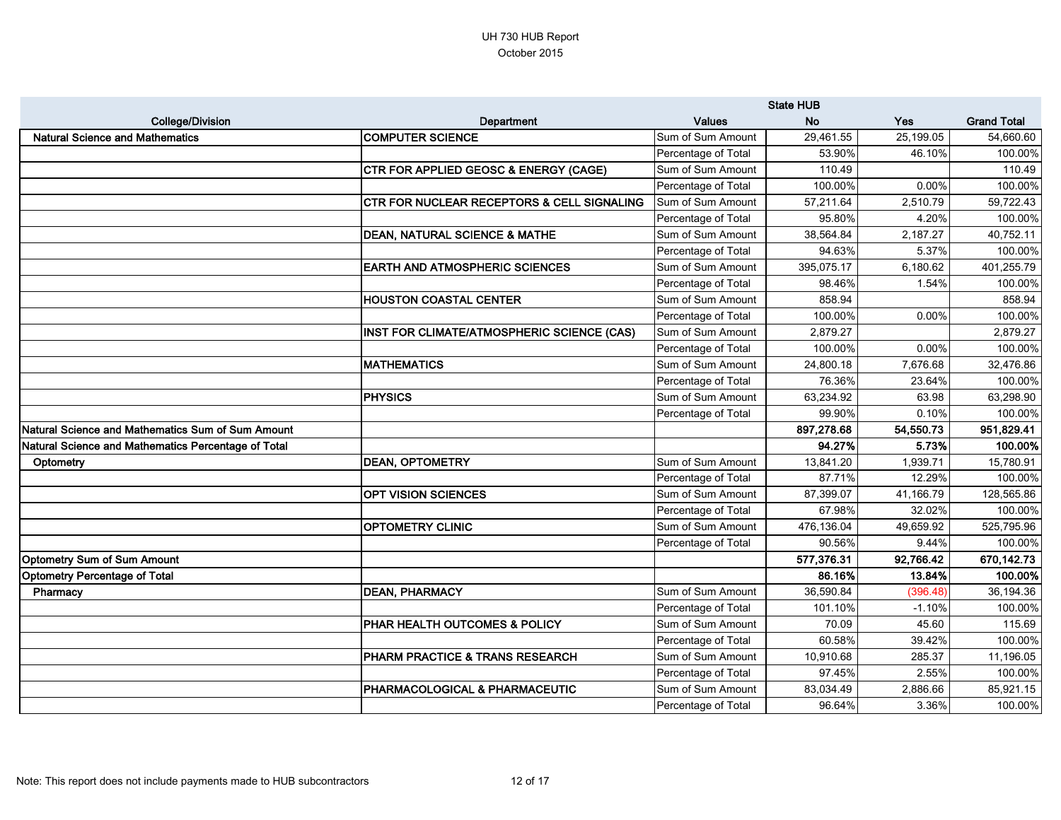|                                                     |                                                       |                     | <b>State HUB</b> |           |                    |
|-----------------------------------------------------|-------------------------------------------------------|---------------------|------------------|-----------|--------------------|
| <b>College/Division</b>                             | <b>Department</b>                                     | <b>Values</b>       | <b>No</b>        | Yes       | <b>Grand Total</b> |
| <b>Natural Science and Mathematics</b>              | <b>COMPUTER SCIENCE</b>                               | Sum of Sum Amount   | 29,461.55        | 25,199.05 | 54,660.60          |
|                                                     |                                                       | Percentage of Total | 53.90%           | 46.10%    | 100.00%            |
|                                                     | CTR FOR APPLIED GEOSC & ENERGY (CAGE)                 | Sum of Sum Amount   | 110.49           |           | 110.49             |
|                                                     |                                                       | Percentage of Total | 100.00%          | 0.00%     | 100.00%            |
|                                                     | <b>CTR FOR NUCLEAR RECEPTORS &amp; CELL SIGNALING</b> | Sum of Sum Amount   | 57,211.64        | 2,510.79  | 59,722.43          |
|                                                     |                                                       | Percentage of Total | 95.80%           | 4.20%     | 100.00%            |
|                                                     | <b>DEAN, NATURAL SCIENCE &amp; MATHE</b>              | Sum of Sum Amount   | 38,564.84        | 2,187.27  | 40,752.11          |
|                                                     |                                                       | Percentage of Total | 94.63%           | 5.37%     | 100.00%            |
|                                                     | <b>EARTH AND ATMOSPHERIC SCIENCES</b>                 | Sum of Sum Amount   | 395,075.17       | 6,180.62  | 401,255.79         |
|                                                     |                                                       | Percentage of Total | 98.46%           | 1.54%     | 100.00%            |
|                                                     | <b>HOUSTON COASTAL CENTER</b>                         | Sum of Sum Amount   | 858.94           |           | 858.94             |
|                                                     |                                                       | Percentage of Total | 100.00%          | 0.00%     | 100.00%            |
|                                                     | INST FOR CLIMATE/ATMOSPHERIC SCIENCE (CAS)            | Sum of Sum Amount   | 2,879.27         |           | 2,879.27           |
|                                                     |                                                       | Percentage of Total | 100.00%          | 0.00%     | 100.00%            |
|                                                     | <b>MATHEMATICS</b>                                    | Sum of Sum Amount   | 24,800.18        | 7,676.68  | 32,476.86          |
|                                                     |                                                       | Percentage of Total | 76.36%           | 23.64%    | 100.00%            |
|                                                     | <b>PHYSICS</b>                                        | Sum of Sum Amount   | 63,234.92        | 63.98     | 63,298.90          |
|                                                     |                                                       | Percentage of Total | 99.90%           | 0.10%     | 100.00%            |
| Natural Science and Mathematics Sum of Sum Amount   |                                                       |                     | 897,278.68       | 54,550.73 | 951,829.41         |
| Natural Science and Mathematics Percentage of Total |                                                       |                     | 94.27%           | 5.73%     | 100.00%            |
| Optometry                                           | <b>DEAN, OPTOMETRY</b>                                | Sum of Sum Amount   | 13,841.20        | 1,939.71  | 15,780.91          |
|                                                     |                                                       | Percentage of Total | 87.71%           | 12.29%    | 100.00%            |
|                                                     | <b>OPT VISION SCIENCES</b>                            | Sum of Sum Amount   | 87,399.07        | 41,166.79 | 128,565.86         |
|                                                     |                                                       | Percentage of Total | 67.98%           | 32.02%    | 100.00%            |
|                                                     | <b>OPTOMETRY CLINIC</b>                               | Sum of Sum Amount   | 476,136.04       | 49,659.92 | 525,795.96         |
|                                                     |                                                       | Percentage of Total | 90.56%           | 9.44%     | 100.00%            |
| Optometry Sum of Sum Amount                         |                                                       |                     | 577,376.31       | 92,766.42 | 670,142.73         |
| Optometry Percentage of Total                       |                                                       |                     | 86.16%           | 13.84%    | 100.00%            |
| Pharmacy                                            | <b>DEAN, PHARMACY</b>                                 | Sum of Sum Amount   | 36,590.84        | (396.48)  | 36,194.36          |
|                                                     |                                                       | Percentage of Total | 101.10%          | $-1.10%$  | 100.00%            |
|                                                     | <b>PHAR HEALTH OUTCOMES &amp; POLICY</b>              | Sum of Sum Amount   | 70.09            | 45.60     | 115.69             |
|                                                     |                                                       | Percentage of Total | 60.58%           | 39.42%    | 100.00%            |
|                                                     | <b>PHARM PRACTICE &amp; TRANS RESEARCH</b>            | Sum of Sum Amount   | 10,910.68        | 285.37    | 11,196.05          |
|                                                     |                                                       | Percentage of Total | 97.45%           | 2.55%     | 100.00%            |
|                                                     | <b>PHARMACOLOGICAL &amp; PHARMACEUTIC</b>             | Sum of Sum Amount   | 83,034.49        | 2,886.66  | 85,921.15          |
|                                                     |                                                       | Percentage of Total | 96.64%           | 3.36%     | 100.00%            |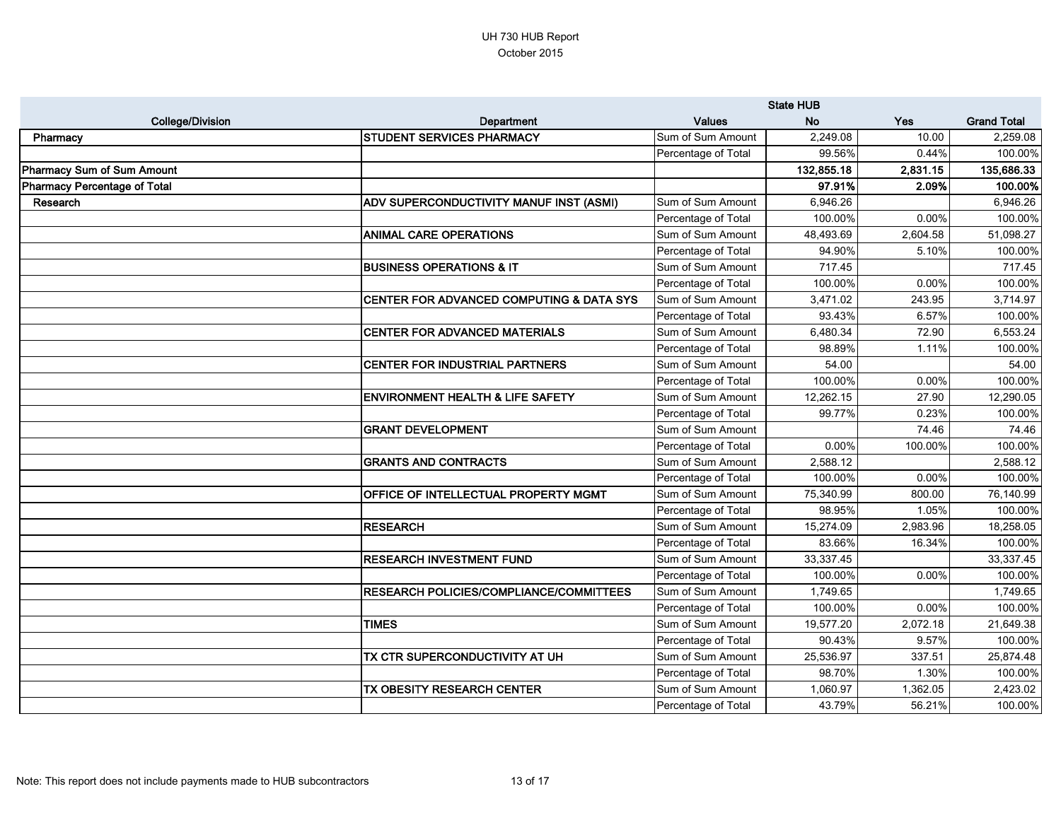|                              |                                                | <b>State HUB</b>    |            |          |                    |
|------------------------------|------------------------------------------------|---------------------|------------|----------|--------------------|
| <b>College/Division</b>      | <b>Department</b>                              | <b>Values</b>       | <b>No</b>  | Yes      | <b>Grand Total</b> |
| Pharmacy                     | <b>STUDENT SERVICES PHARMACY</b>               | Sum of Sum Amount   | 2,249.08   | 10.00    | 2,259.08           |
|                              |                                                | Percentage of Total | 99.56%     | 0.44%    | 100.00%            |
| Pharmacy Sum of Sum Amount   |                                                |                     | 132,855.18 | 2,831.15 | 135,686.33         |
| Pharmacy Percentage of Total |                                                |                     | 97.91%     | 2.09%    | 100.00%            |
| Research                     | ADV SUPERCONDUCTIVITY MANUF INST (ASMI)        | Sum of Sum Amount   | 6,946.26   |          | 6,946.26           |
|                              |                                                | Percentage of Total | 100.00%    | 0.00%    | 100.00%            |
|                              | <b>ANIMAL CARE OPERATIONS</b>                  | Sum of Sum Amount   | 48,493.69  | 2,604.58 | 51,098.27          |
|                              |                                                | Percentage of Total | 94.90%     | 5.10%    | 100.00%            |
|                              | <b>BUSINESS OPERATIONS &amp; IT</b>            | Sum of Sum Amount   | 717.45     |          | 717.45             |
|                              |                                                | Percentage of Total | 100.00%    | 0.00%    | 100.00%            |
|                              | CENTER FOR ADVANCED COMPUTING & DATA SYS       | Sum of Sum Amount   | 3,471.02   | 243.95   | 3,714.97           |
|                              |                                                | Percentage of Total | 93.43%     | 6.57%    | 100.00%            |
|                              | <b>CENTER FOR ADVANCED MATERIALS</b>           | Sum of Sum Amount   | 6,480.34   | 72.90    | 6,553.24           |
|                              |                                                | Percentage of Total | 98.89%     | 1.11%    | 100.00%            |
|                              | <b>CENTER FOR INDUSTRIAL PARTNERS</b>          | Sum of Sum Amount   | 54.00      |          | 54.00              |
|                              |                                                | Percentage of Total | 100.00%    | 0.00%    | 100.00%            |
|                              | <b>ENVIRONMENT HEALTH &amp; LIFE SAFETY</b>    | Sum of Sum Amount   | 12,262.15  | 27.90    | 12,290.05          |
|                              |                                                | Percentage of Total | 99.77%     | 0.23%    | 100.00%            |
|                              | <b>GRANT DEVELOPMENT</b>                       | Sum of Sum Amount   |            | 74.46    | 74.46              |
|                              |                                                | Percentage of Total | 0.00%      | 100.00%  | 100.00%            |
|                              | <b>GRANTS AND CONTRACTS</b>                    | Sum of Sum Amount   | 2,588.12   |          | 2,588.12           |
|                              |                                                | Percentage of Total | 100.00%    | 0.00%    | 100.00%            |
|                              | <b>OFFICE OF INTELLECTUAL PROPERTY MGMT</b>    | Sum of Sum Amount   | 75,340.99  | 800.00   | 76,140.99          |
|                              |                                                | Percentage of Total | 98.95%     | 1.05%    | 100.00%            |
|                              | <b>RESEARCH</b>                                | Sum of Sum Amount   | 15,274.09  | 2,983.96 | 18,258.05          |
|                              |                                                | Percentage of Total | 83.66%     | 16.34%   | 100.00%            |
|                              | <b>RESEARCH INVESTMENT FUND</b>                | Sum of Sum Amount   | 33,337.45  |          | 33,337.45          |
|                              |                                                | Percentage of Total | 100.00%    | $0.00\%$ | 100.00%            |
|                              | <b>RESEARCH POLICIES/COMPLIANCE/COMMITTEES</b> | Sum of Sum Amount   | 1,749.65   |          | 1,749.65           |
|                              |                                                | Percentage of Total | 100.00%    | $0.00\%$ | 100.00%            |
|                              | <b>TIMES</b>                                   | Sum of Sum Amount   | 19,577.20  | 2,072.18 | 21,649.38          |
|                              |                                                | Percentage of Total | 90.43%     | 9.57%    | 100.00%            |
|                              | TX CTR SUPERCONDUCTIVITY AT UH                 | Sum of Sum Amount   | 25,536.97  | 337.51   | 25,874.48          |
|                              |                                                | Percentage of Total | 98.70%     | 1.30%    | 100.00%            |
|                              | TX OBESITY RESEARCH CENTER                     | Sum of Sum Amount   | 1,060.97   | 1,362.05 | 2,423.02           |
|                              |                                                | Percentage of Total | 43.79%     | 56.21%   | 100.00%            |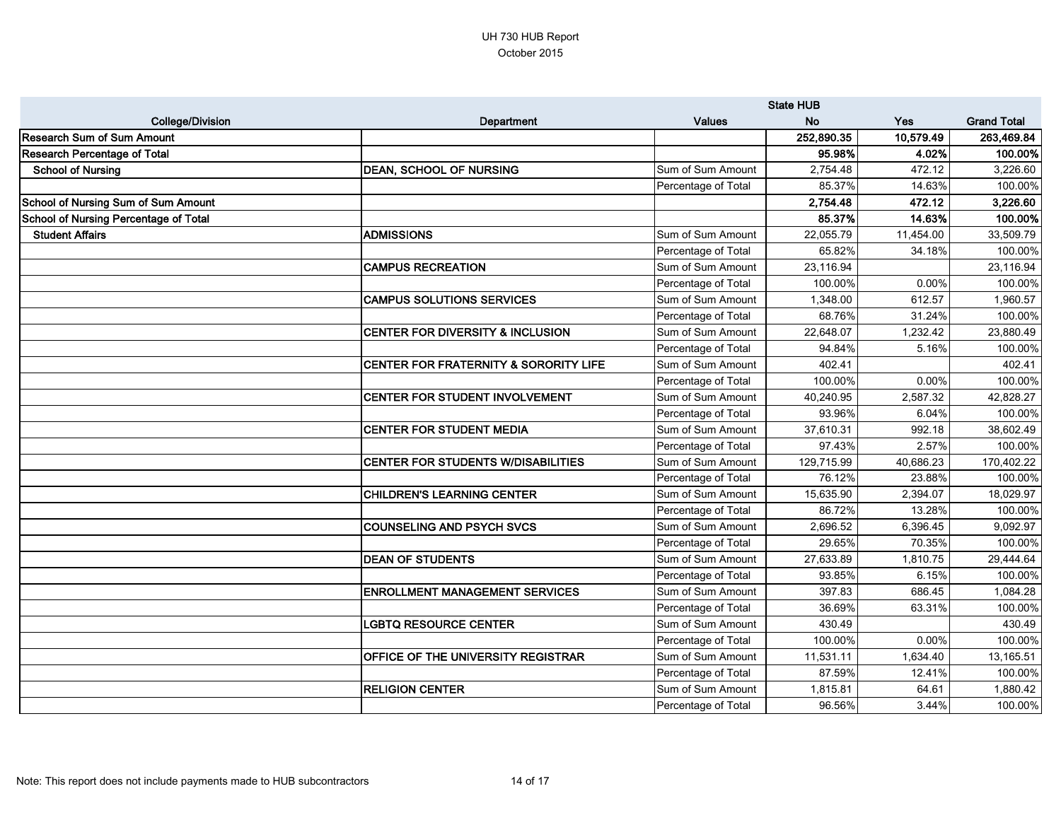|                                       |                                                  | <b>State HUB</b>    |            |           |                    |
|---------------------------------------|--------------------------------------------------|---------------------|------------|-----------|--------------------|
| <b>College/Division</b>               | <b>Department</b>                                | <b>Values</b>       | <b>No</b>  | Yes       | <b>Grand Total</b> |
| <b>Research Sum of Sum Amount</b>     |                                                  |                     | 252,890.35 | 10,579.49 | 263,469.84         |
| <b>Research Percentage of Total</b>   |                                                  |                     | 95.98%     | 4.02%     | 100.00%            |
| <b>School of Nursing</b>              | <b>DEAN, SCHOOL OF NURSING</b>                   | Sum of Sum Amount   | 2,754.48   | 472.12    | 3,226.60           |
|                                       |                                                  | Percentage of Total | 85.37%     | 14.63%    | 100.00%            |
| School of Nursing Sum of Sum Amount   |                                                  |                     | 2,754.48   | 472.12    | 3,226.60           |
| School of Nursing Percentage of Total |                                                  |                     | 85.37%     | 14.63%    | 100.00%            |
| <b>Student Affairs</b>                | <b>ADMISSIONS</b>                                | Sum of Sum Amount   | 22,055.79  | 11,454.00 | 33,509.79          |
|                                       |                                                  | Percentage of Total | 65.82%     | 34.18%    | 100.00%            |
|                                       | <b>CAMPUS RECREATION</b>                         | Sum of Sum Amount   | 23,116.94  |           | 23,116.94          |
|                                       |                                                  | Percentage of Total | 100.00%    | 0.00%     | 100.00%            |
|                                       | <b>CAMPUS SOLUTIONS SERVICES</b>                 | Sum of Sum Amount   | 1,348.00   | 612.57    | 1,960.57           |
|                                       |                                                  | Percentage of Total | 68.76%     | 31.24%    | 100.00%            |
|                                       | <b>CENTER FOR DIVERSITY &amp; INCLUSION</b>      | Sum of Sum Amount   | 22,648.07  | 1,232.42  | 23,880.49          |
|                                       |                                                  | Percentage of Total | 94.84%     | 5.16%     | 100.00%            |
|                                       | <b>CENTER FOR FRATERNITY &amp; SORORITY LIFE</b> | Sum of Sum Amount   | 402.41     |           | 402.41             |
|                                       |                                                  | Percentage of Total | 100.00%    | 0.00%     | 100.00%            |
|                                       | <b>CENTER FOR STUDENT INVOLVEMENT</b>            | Sum of Sum Amount   | 40,240.95  | 2,587.32  | 42,828.27          |
|                                       |                                                  | Percentage of Total | 93.96%     | 6.04%     | 100.00%            |
|                                       | <b>CENTER FOR STUDENT MEDIA</b>                  | Sum of Sum Amount   | 37,610.31  | 992.18    | 38,602.49          |
|                                       |                                                  | Percentage of Total | 97.43%     | 2.57%     | 100.00%            |
|                                       | <b>CENTER FOR STUDENTS W/DISABILITIES</b>        | Sum of Sum Amount   | 129,715.99 | 40,686.23 | 170,402.22         |
|                                       |                                                  | Percentage of Total | 76.12%     | 23.88%    | 100.00%            |
|                                       | <b>CHILDREN'S LEARNING CENTER</b>                | Sum of Sum Amount   | 15,635.90  | 2,394.07  | 18,029.97          |
|                                       |                                                  | Percentage of Total | 86.72%     | 13.28%    | 100.00%            |
|                                       | <b>COUNSELING AND PSYCH SVCS</b>                 | Sum of Sum Amount   | 2,696.52   | 6,396.45  | 9,092.97           |
|                                       |                                                  | Percentage of Total | 29.65%     | 70.35%    | 100.00%            |
|                                       | <b>DEAN OF STUDENTS</b>                          | Sum of Sum Amount   | 27,633.89  | 1,810.75  | 29,444.64          |
|                                       |                                                  | Percentage of Total | 93.85%     | 6.15%     | 100.00%            |
|                                       | <b>ENROLLMENT MANAGEMENT SERVICES</b>            | Sum of Sum Amount   | 397.83     | 686.45    | 1,084.28           |
|                                       |                                                  | Percentage of Total | 36.69%     | 63.31%    | 100.00%            |
|                                       | <b>LGBTQ RESOURCE CENTER</b>                     | Sum of Sum Amount   | 430.49     |           | 430.49             |
|                                       |                                                  | Percentage of Total | 100.00%    | 0.00%     | 100.00%            |
|                                       | <b>OFFICE OF THE UNIVERSITY REGISTRAR</b>        | Sum of Sum Amount   | 11,531.11  | 1,634.40  | 13,165.51          |
|                                       |                                                  | Percentage of Total | 87.59%     | 12.41%    | 100.00%            |
|                                       | <b>RELIGION CENTER</b>                           | Sum of Sum Amount   | 1,815.81   | 64.61     | 1,880.42           |
|                                       |                                                  | Percentage of Total | 96.56%     | 3.44%     | 100.00%            |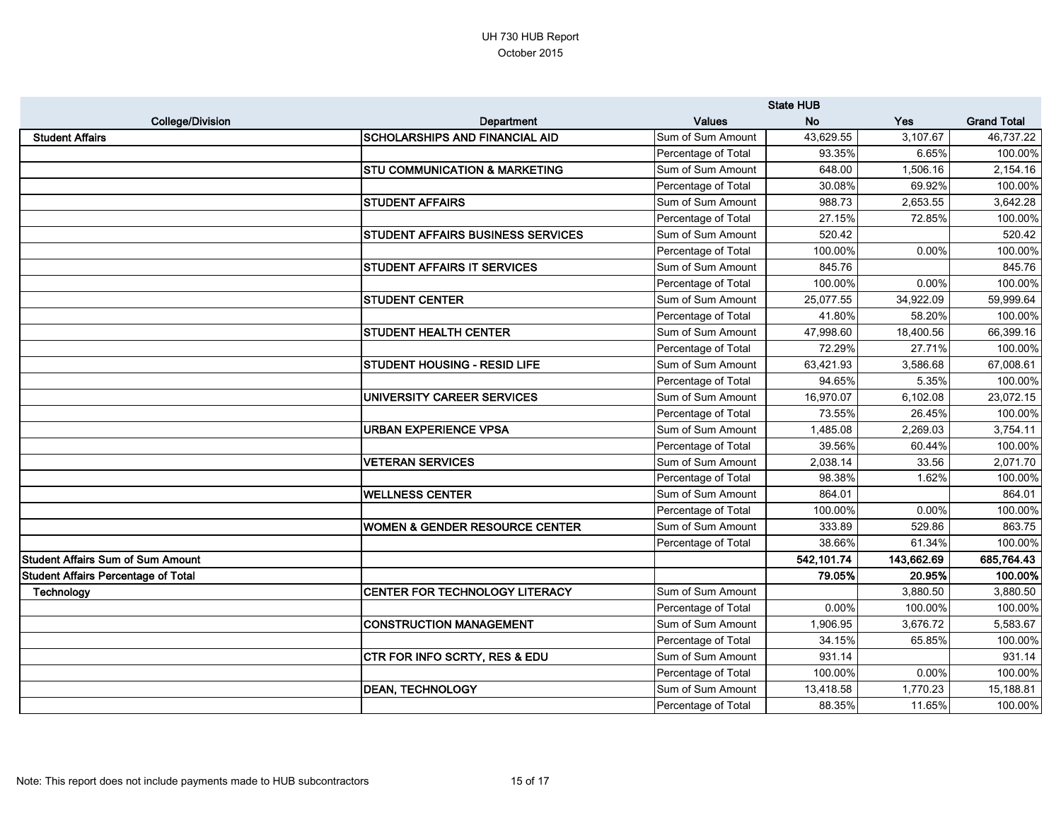|                                          |                                           | <b>State HUB</b>    |            |            |                    |
|------------------------------------------|-------------------------------------------|---------------------|------------|------------|--------------------|
| <b>College/Division</b>                  | Department                                | <b>Values</b>       | <b>No</b>  | Yes        | <b>Grand Total</b> |
| <b>Student Affairs</b>                   | <b>SCHOLARSHIPS AND FINANCIAL AID</b>     | Sum of Sum Amount   | 43,629.55  | 3,107.67   | 46,737.22          |
|                                          |                                           | Percentage of Total | 93.35%     | 6.65%      | 100.00%            |
|                                          | <b>STU COMMUNICATION &amp; MARKETING</b>  | Sum of Sum Amount   | 648.00     | 1,506.16   | 2,154.16           |
|                                          |                                           | Percentage of Total | 30.08%     | 69.92%     | 100.00%            |
|                                          | <b>STUDENT AFFAIRS</b>                    | Sum of Sum Amount   | 988.73     | 2,653.55   | 3,642.28           |
|                                          |                                           | Percentage of Total | 27.15%     | 72.85%     | 100.00%            |
|                                          | <b>STUDENT AFFAIRS BUSINESS SERVICES</b>  | Sum of Sum Amount   | 520.42     |            | 520.42             |
|                                          |                                           | Percentage of Total | 100.00%    | 0.00%      | 100.00%            |
|                                          | <b>STUDENT AFFAIRS IT SERVICES</b>        | Sum of Sum Amount   | 845.76     |            | 845.76             |
|                                          |                                           | Percentage of Total | 100.00%    | 0.00%      | 100.00%            |
|                                          | <b>STUDENT CENTER</b>                     | Sum of Sum Amount   | 25,077.55  | 34,922.09  | 59,999.64          |
|                                          |                                           | Percentage of Total | 41.80%     | 58.20%     | 100.00%            |
|                                          | <b>STUDENT HEALTH CENTER</b>              | Sum of Sum Amount   | 47,998.60  | 18,400.56  | 66,399.16          |
|                                          |                                           | Percentage of Total | 72.29%     | 27.71%     | 100.00%            |
|                                          | <b>STUDENT HOUSING - RESID LIFE</b>       | Sum of Sum Amount   | 63,421.93  | 3,586.68   | 67,008.61          |
|                                          |                                           | Percentage of Total | 94.65%     | 5.35%      | 100.00%            |
|                                          | UNIVERSITY CAREER SERVICES                | Sum of Sum Amount   | 16,970.07  | 6,102.08   | 23,072.15          |
|                                          |                                           | Percentage of Total | 73.55%     | 26.45%     | 100.00%            |
|                                          | <b>URBAN EXPERIENCE VPSA</b>              | Sum of Sum Amount   | 1,485.08   | 2,269.03   | 3,754.11           |
|                                          |                                           | Percentage of Total | 39.56%     | 60.44%     | 100.00%            |
|                                          | <b>VETERAN SERVICES</b>                   | Sum of Sum Amount   | 2,038.14   | 33.56      | 2,071.70           |
|                                          |                                           | Percentage of Total | 98.38%     | 1.62%      | 100.00%            |
|                                          | <b>WELLNESS CENTER</b>                    | Sum of Sum Amount   | 864.01     |            | 864.01             |
|                                          |                                           | Percentage of Total | 100.00%    | 0.00%      | 100.00%            |
|                                          | <b>WOMEN &amp; GENDER RESOURCE CENTER</b> | Sum of Sum Amount   | 333.89     | 529.86     | 863.75             |
|                                          |                                           | Percentage of Total | 38.66%     | 61.34%     | 100.00%            |
| <b>Student Affairs Sum of Sum Amount</b> |                                           |                     | 542,101.74 | 143,662.69 | 685,764.43         |
| Student Affairs Percentage of Total      |                                           |                     | 79.05%     | 20.95%     | 100.00%            |
| Technology                               | CENTER FOR TECHNOLOGY LITERACY            | Sum of Sum Amount   |            | 3,880.50   | 3,880.50           |
|                                          |                                           | Percentage of Total | 0.00%      | 100.00%    | 100.00%            |
|                                          | <b>CONSTRUCTION MANAGEMENT</b>            | Sum of Sum Amount   | 1,906.95   | 3,676.72   | 5,583.67           |
|                                          |                                           | Percentage of Total | 34.15%     | 65.85%     | 100.00%            |
|                                          | <b>CTR FOR INFO SCRTY, RES &amp; EDU</b>  | Sum of Sum Amount   | 931.14     |            | 931.14             |
|                                          |                                           | Percentage of Total | 100.00%    | 0.00%      | 100.00%            |
|                                          | <b>DEAN, TECHNOLOGY</b>                   | Sum of Sum Amount   | 13,418.58  | 1,770.23   | 15,188.81          |
|                                          |                                           | Percentage of Total | 88.35%     | 11.65%     | 100.00%            |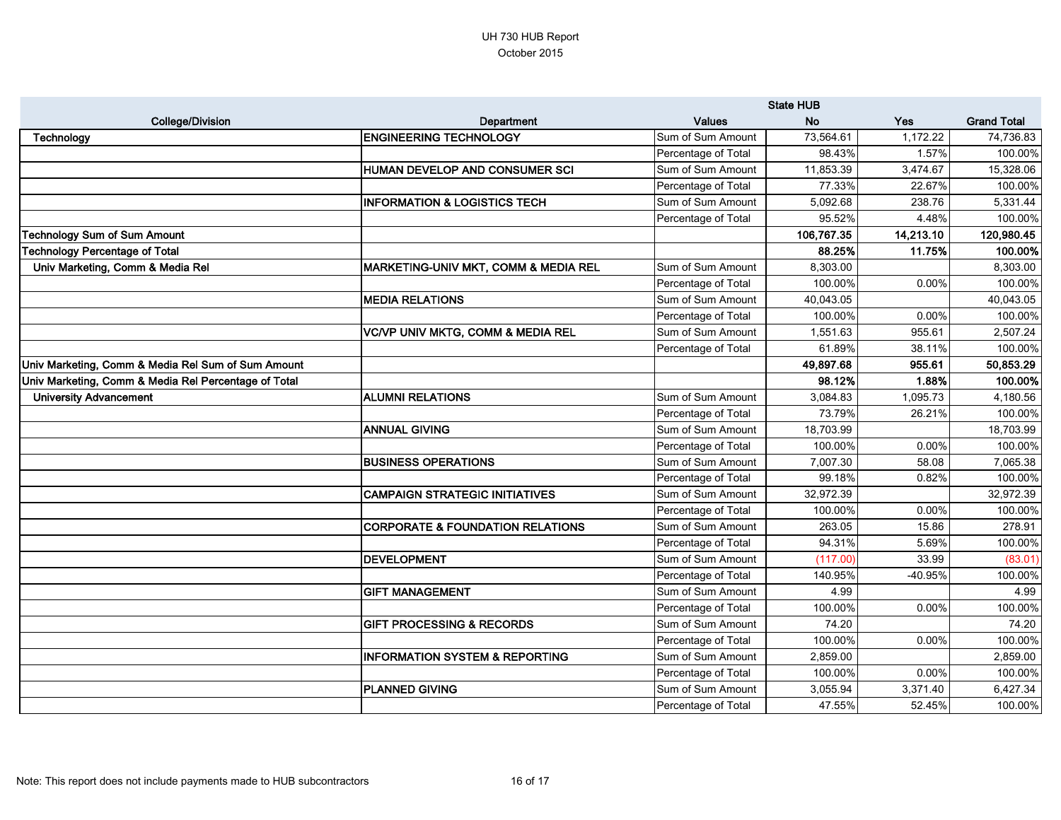|                                                      |                                                 | <b>State HUB</b>    |            |            |                    |
|------------------------------------------------------|-------------------------------------------------|---------------------|------------|------------|--------------------|
| <b>College/Division</b>                              | <b>Department</b>                               | <b>Values</b>       | <b>No</b>  | <b>Yes</b> | <b>Grand Total</b> |
| Technology                                           | <b>ENGINEERING TECHNOLOGY</b>                   | Sum of Sum Amount   | 73,564.61  | 1,172.22   | 74,736.83          |
|                                                      |                                                 | Percentage of Total | 98.43%     | 1.57%      | 100.00%            |
|                                                      | <b>HUMAN DEVELOP AND CONSUMER SCI</b>           | Sum of Sum Amount   | 11,853.39  | 3,474.67   | 15,328.06          |
|                                                      |                                                 | Percentage of Total | 77.33%     | 22.67%     | 100.00%            |
|                                                      | <b>INFORMATION &amp; LOGISTICS TECH</b>         | Sum of Sum Amount   | 5,092.68   | 238.76     | 5,331.44           |
|                                                      |                                                 | Percentage of Total | 95.52%     | 4.48%      | 100.00%            |
| echnology Sum of Sum Amount                          |                                                 |                     | 106,767.35 | 14,213.10  | 120,980.45         |
| echnology Percentage of Total                        |                                                 |                     | 88.25%     | 11.75%     | 100.00%            |
| Univ Marketing, Comm & Media Rel                     | <b>MARKETING-UNIV MKT, COMM &amp; MEDIA REL</b> | Sum of Sum Amount   | 8,303.00   |            | 8,303.00           |
|                                                      |                                                 | Percentage of Total | 100.00%    | 0.00%      | 100.00%            |
|                                                      | <b>MEDIA RELATIONS</b>                          | Sum of Sum Amount   | 40,043.05  |            | 40,043.05          |
|                                                      |                                                 | Percentage of Total | 100.00%    | 0.00%      | 100.00%            |
|                                                      | VC/VP UNIV MKTG, COMM & MEDIA REL               | Sum of Sum Amount   | 1,551.63   | 955.61     | 2,507.24           |
|                                                      |                                                 | Percentage of Total | 61.89%     | 38.11%     | 100.00%            |
| Univ Marketing, Comm & Media Rel Sum of Sum Amount   |                                                 |                     | 49,897.68  | 955.61     | 50,853.29          |
| Univ Marketing, Comm & Media Rel Percentage of Total |                                                 |                     | 98.12%     | 1.88%      | 100.00%            |
| <b>University Advancement</b>                        | <b>ALUMNI RELATIONS</b>                         | Sum of Sum Amount   | 3,084.83   | 1,095.73   | 4,180.56           |
|                                                      |                                                 | Percentage of Total | 73.79%     | 26.21%     | 100.00%            |
|                                                      | <b>ANNUAL GIVING</b>                            | Sum of Sum Amount   | 18,703.99  |            | 18,703.99          |
|                                                      |                                                 | Percentage of Total | 100.00%    | 0.00%      | 100.00%            |
|                                                      | <b>BUSINESS OPERATIONS</b>                      | Sum of Sum Amount   | 7,007.30   | 58.08      | 7,065.38           |
|                                                      |                                                 | Percentage of Total | 99.18%     | 0.82%      | 100.00%            |
|                                                      | <b>CAMPAIGN STRATEGIC INITIATIVES</b>           | Sum of Sum Amount   | 32,972.39  |            | 32,972.39          |
|                                                      |                                                 | Percentage of Total | 100.00%    | 0.00%      | 100.00%            |
|                                                      | <b>CORPORATE &amp; FOUNDATION RELATIONS</b>     | Sum of Sum Amount   | 263.05     | 15.86      | 278.91             |
|                                                      |                                                 | Percentage of Total | 94.31%     | 5.69%      | 100.00%            |
|                                                      | DEVELOPMENT                                     | Sum of Sum Amount   | (117.00)   | 33.99      | (83.01)            |
|                                                      |                                                 | Percentage of Total | 140.95%    | -40.95%    | 100.00%            |
|                                                      | <b>GIFT MANAGEMENT</b>                          | Sum of Sum Amount   | 4.99       |            | 4.99               |
|                                                      |                                                 | Percentage of Total | 100.00%    | 0.00%      | 100.00%            |
|                                                      | <b>GIFT PROCESSING &amp; RECORDS</b>            | Sum of Sum Amount   | 74.20      |            | 74.20              |
|                                                      |                                                 | Percentage of Total | 100.00%    | 0.00%      | 100.00%            |
|                                                      | <b>INFORMATION SYSTEM &amp; REPORTING</b>       | Sum of Sum Amount   | 2,859.00   |            | 2,859.00           |
|                                                      |                                                 | Percentage of Total | 100.00%    | 0.00%      | 100.00%            |
|                                                      | <b>PLANNED GIVING</b>                           | Sum of Sum Amount   | 3,055.94   | 3,371.40   | 6,427.34           |
|                                                      |                                                 | Percentage of Total | 47.55%     | 52.45%     | 100.00%            |